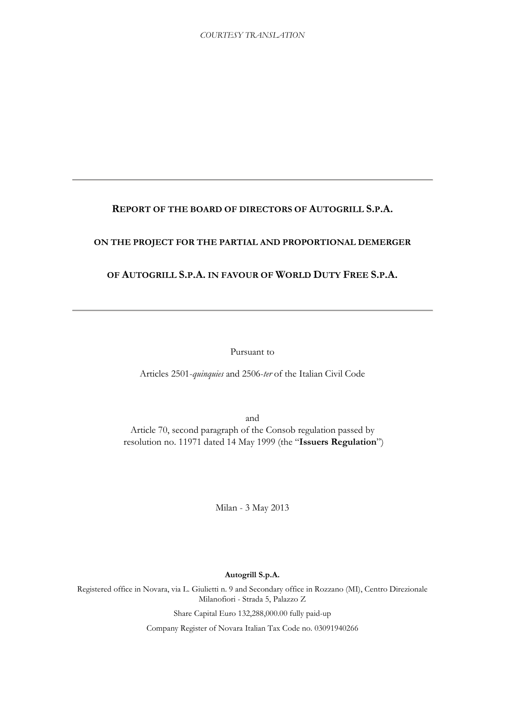## **REPORT OF THE BOARD OF DIRECTORS OF AUTOGRILL S.P.A.**

## **ON THE PROJECT FOR THE PARTIAL AND PROPORTIONAL DEMERGER**

## **OF AUTOGRILL S.P.A. IN FAVOUR OF WORLD DUTY FREE S.P.A.**

Pursuant to

Articles 2501-*quinquies* and 2506-*ter* of the Italian Civil Code

and Article 70, second paragraph of the Consob regulation passed by resolution no. 11971 dated 14 May 1999 (the "**Issuers Regulation**")

Milan - 3 May 2013

### **Autogrill S.p.A.**

Registered office in Novara, via L. Giulietti n. 9 and Secondary office in Rozzano (MI), Centro Direzionale Milanofiori - Strada 5, Palazzo Z

Share Capital Euro 132,288,000.00 fully paid-up

Company Register of Novara Italian Tax Code no. 03091940266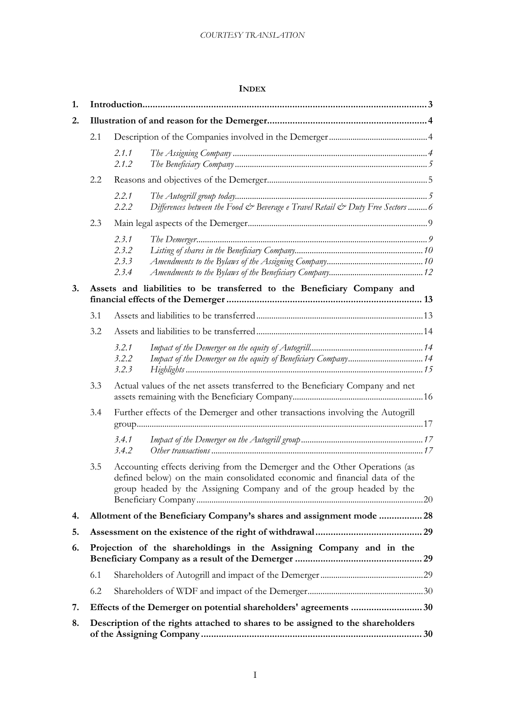## **INDEX**

| 1. |     |                                  |                                                                                                                                                                                                                                  |  |  |
|----|-----|----------------------------------|----------------------------------------------------------------------------------------------------------------------------------------------------------------------------------------------------------------------------------|--|--|
| 2. |     |                                  |                                                                                                                                                                                                                                  |  |  |
|    | 2.1 |                                  |                                                                                                                                                                                                                                  |  |  |
|    |     | 2.1.1<br>2.1.2                   |                                                                                                                                                                                                                                  |  |  |
|    | 2.2 |                                  |                                                                                                                                                                                                                                  |  |  |
|    |     | 2.2.1<br>2.2.2                   | Differences between the Food & Beverage e Travel Retail & Duty Free Sectors6                                                                                                                                                     |  |  |
|    | 2.3 |                                  |                                                                                                                                                                                                                                  |  |  |
|    |     | 2.3.1<br>2.3.2<br>2.3.3<br>2.3.4 |                                                                                                                                                                                                                                  |  |  |
| 3. |     |                                  | Assets and liabilities to be transferred to the Beneficiary Company and                                                                                                                                                          |  |  |
|    | 3.1 |                                  |                                                                                                                                                                                                                                  |  |  |
|    | 3.2 |                                  |                                                                                                                                                                                                                                  |  |  |
|    |     | 3.2.1<br>3.2.2<br>3.2.3          | Impact of the Demerger on the equity of Beneficiary Company 14                                                                                                                                                                   |  |  |
|    | 3.3 |                                  | Actual values of the net assets transferred to the Beneficiary Company and net                                                                                                                                                   |  |  |
|    | 3.4 |                                  | Further effects of the Demerger and other transactions involving the Autogrill                                                                                                                                                   |  |  |
|    |     | 3.4.1<br>3.4.2                   |                                                                                                                                                                                                                                  |  |  |
|    | 3.5 |                                  | Accounting effects deriving from the Demerger and the Other Operations (as<br>defined below) on the main consolidated economic and financial data of the<br>group headed by the Assigning Company and of the group headed by the |  |  |
| 4. |     |                                  | Allotment of the Beneficiary Company's shares and assignment mode  28                                                                                                                                                            |  |  |
| 5. |     |                                  |                                                                                                                                                                                                                                  |  |  |
| 6. |     |                                  | Projection of the shareholdings in the Assigning Company and in the                                                                                                                                                              |  |  |
|    | 6.1 |                                  |                                                                                                                                                                                                                                  |  |  |
|    | 6.2 |                                  |                                                                                                                                                                                                                                  |  |  |
| 7. |     |                                  |                                                                                                                                                                                                                                  |  |  |
| 8. |     |                                  | Description of the rights attached to shares to be assigned to the shareholders                                                                                                                                                  |  |  |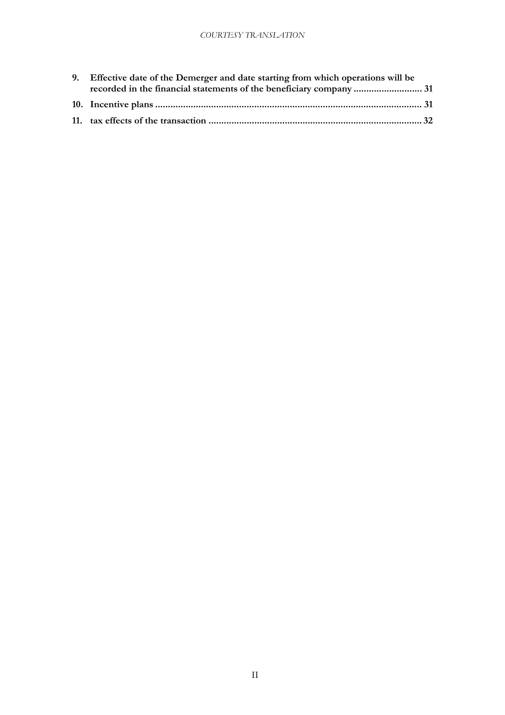| 9. Effective date of the Demerger and date starting from which operations will be |
|-----------------------------------------------------------------------------------|
|                                                                                   |
|                                                                                   |
|                                                                                   |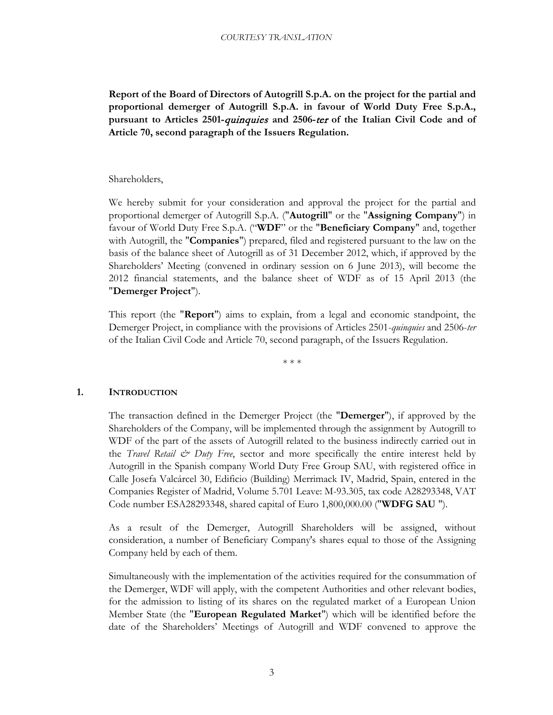**Report of the Board of Directors of Autogrill S.p.A. on the project for the partial and proportional demerger of Autogrill S.p.A. in favour of World Duty Free S.p.A., pursuant to Articles 2501-**quinquies **and 2506-**ter **of the Italian Civil Code and of Article 70, second paragraph of the Issuers Regulation.**

## Shareholders,

We hereby submit for your consideration and approval the project for the partial and proportional demerger of Autogrill S.p.A. ("**Autogrill**" or the "**Assigning Company**") in favour of World Duty Free S.p.A. ("**WDF**" or the "**Beneficiary Company**" and, together with Autogrill, the "**Companies**") prepared, filed and registered pursuant to the law on the basis of the balance sheet of Autogrill as of 31 December 2012, which, if approved by the Shareholders' Meeting (convened in ordinary session on 6 June 2013), will become the 2012 financial statements, and the balance sheet of WDF as of 15 April 2013 (the "**Demerger Project**").

This report (the "**Report**") aims to explain, from a legal and economic standpoint, the Demerger Project, in compliance with the provisions of Articles 2501-*quinquies* and 2506-*ter* of the Italian Civil Code and Article 70, second paragraph, of the Issuers Regulation.

\* \* \*

## <span id="page-3-0"></span>**1. INTRODUCTION**

The transaction defined in the Demerger Project (the "**Demerger**"), if approved by the Shareholders of the Company, will be implemented through the assignment by Autogrill to WDF of the part of the assets of Autogrill related to the business indirectly carried out in the *Travel Retail & Duty Free*, sector and more specifically the entire interest held by Autogrill in the Spanish company World Duty Free Group SAU, with registered office in Calle Josefa Valcárcel 30, Edificio (Building) Merrimack IV, Madrid, Spain, entered in the Companies Register of Madrid, Volume 5.701 Leave: M-93.305, tax code A28293348, VAT Code number ESA28293348, shared capital of Euro 1,800,000.00 ("**WDFG SAU** ").

As a result of the Demerger, Autogrill Shareholders will be assigned, without consideration, a number of Beneficiary Company's shares equal to those of the Assigning Company held by each of them.

Simultaneously with the implementation of the activities required for the consummation of the Demerger, WDF will apply, with the competent Authorities and other relevant bodies, for the admission to listing of its shares on the regulated market of a European Union Member State (the "**European Regulated Market**") which will be identified before the date of the Shareholders' Meetings of Autogrill and WDF convened to approve the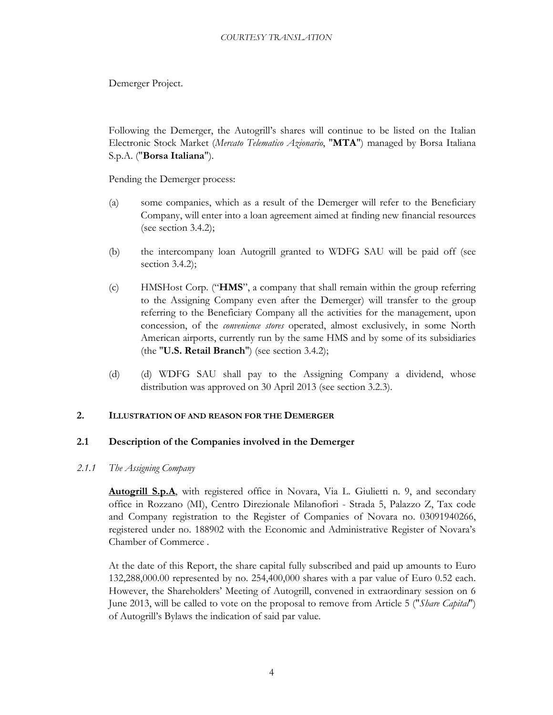Demerger Project.

Following the Demerger, the Autogrill's shares will continue to be listed on the Italian Electronic Stock Market (*Mercato Telematico Azionario*, "**MTA**") managed by Borsa Italiana S.p.A. ("**Borsa Italiana**").

Pending the Demerger process:

- (a) some companies, which as a result of the Demerger will refer to the Beneficiary Company, will enter into a loan agreement aimed at finding new financial resources (see section [3.4.2\)](#page-17-3);
- (b) the intercompany loan Autogrill granted to WDFG SAU will be paid off (see section [3.4.2\)](#page-17-3);
- (c) HMSHost Corp. ("**HMS**", a company that shall remain within the group referring to the Assigning Company even after the Demerger) will transfer to the group referring to the Beneficiary Company all the activities for the management, upon concession, of the *convenience stores* operated, almost exclusively, in some North American airports, currently run by the same HMS and by some of its subsidiaries (the "**U.S. Retail Branch**") (see section [3.4.2\)](#page-17-3);
- (d) (d) WDFG SAU shall pay to the Assigning Company a dividend, whose distribution was approved on 30 April 2013 (see section [3.2.3\)](#page-15-1).

## **2. ILLUSTRATION OF AND REASON FOR THE DEMERGER**

## <span id="page-4-0"></span>**2.1 Description of the Companies involved in the Demerger**

## <span id="page-4-2"></span><span id="page-4-1"></span>*2.1.1 The Assigning Company*

**Autogrill S.p.A** , with registered office in Novara, Via L. Giulietti n. 9, and secondary office in Rozzano (MI), Centro Direzionale Milanofiori - Strada 5, Palazzo Z, Tax code and Company registration to the Register of Companies of Novara no. 03091940266, registered under no. 188902 with the Economic and Administrative Register of Novara's Chamber of Commerce .

At the date of this Report, the share capital fully subscribed and paid up amounts to Euro 132,288,000.00 represented by no. 254,400,000 shares with a par value of Euro 0.52 each. However, the Shareholders' Meeting of Autogrill, convened in extraordinary session on 6 June 2013, will be called to vote on the proposal to remove from Article 5 ("*Share Capital*") of Autogrill's Bylaws the indication of said par value.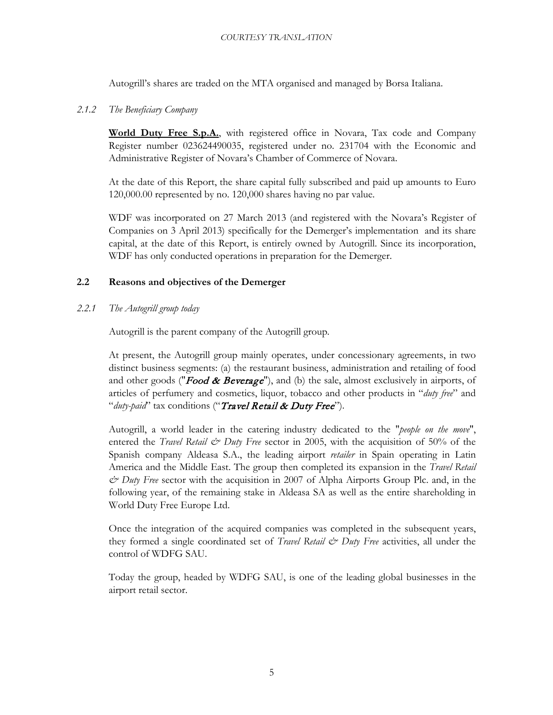Autogrill's shares are traded on the MTA organised and managed by Borsa Italiana.

## <span id="page-5-0"></span>*2.1.2 The Beneficiary Company*

**World Duty Free S.p.A.** , with registered office in Novara, Tax code and Company Register number 023624490035, registered under no. 231704 with the Economic and Administrative Register of Novara's Chamber of Commerce of Novara.

At the date of this Report, the share capital fully subscribed and paid up amounts to Euro 120,000.00 represented by no. 120,000 shares having no par value.

WDF was incorporated on 27 March 2013 (and registered with the Novara's Register of Companies on 3 April 2013) specifically for the Demerger's implementation and its share capital, at the date of this Report, is entirely owned by Autogrill. Since its incorporation, WDF has only conducted operations in preparation for the Demerger.

## **2.2 Reasons and objectives of the Demerger**

<span id="page-5-2"></span><span id="page-5-1"></span>*2.2.1 The Autogrill group today* 

Autogrill is the parent company of the Autogrill group.

At present, the Autogrill group mainly operates, under concessionary agreements, in two distinct business segments: (a) the restaurant business, administration and retailing of food and other goods ("**Food & Beverage**"), and (b) the sale, almost exclusively in airports, of articles of perfumery and cosmetics, liquor, tobacco and other products in "*duty free*" and "*duty-paid*" tax conditions ("Travel Retail & Duty Free").

Autogrill, a world leader in the catering industry dedicated to the "*people on the move*", entered the *Travel Retail & Duty Free* sector in 2005, with the acquisition of 50% of the Spanish company Aldeasa S.A., the leading airport *retailer* in Spain operating in Latin America and the Middle East. The group then completed its expansion in the *Travel Retail & Duty Free* sector with the acquisition in 2007 of Alpha Airports Group Plc. and, in the following year, of the remaining stake in Aldeasa SA as well as the entire shareholding in World Duty Free Europe Ltd.

Once the integration of the acquired companies was completed in the subsequent years, they formed a single coordinated set of *Travel Retail & Duty Free* activities, all under the control of WDFG SAU.

Today the group, headed by WDFG SAU, is one of the leading global businesses in the airport retail sector.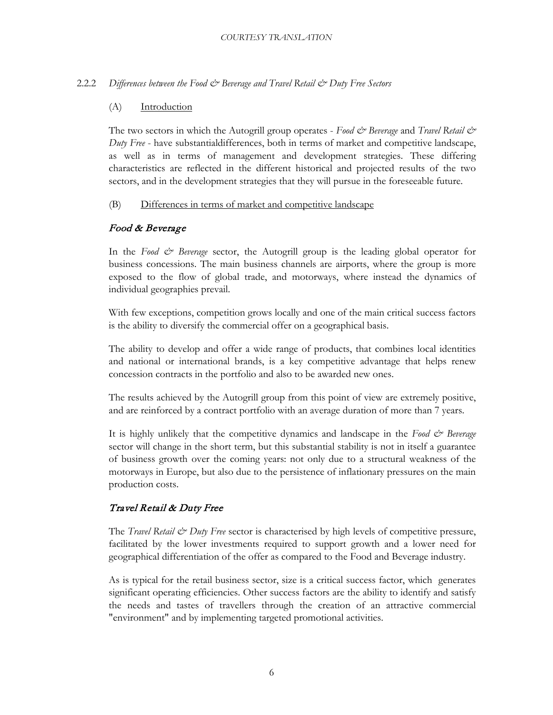## 2.2.2 *Differences between the Food & Beverage and Travel Retail & Duty Free Sectors*

#### (A) **Introduction**

<span id="page-6-0"></span>The two sectors in which the Autogrill group operates - *Food & Beverage* and *Travel Retail & Duty Free* - have substantialdifferences, both in terms of market and competitive landscape, as well as in terms of management and development strategies. These differing characteristics are reflected in the different historical and projected results of the two sectors, and in the development strategies that they will pursue in the foreseeable future.

#### (B) Differences in terms of market and competitive landscape

## Food & Beverage

In the *Food*  $\breve{\mathcal{O}}$  *Beverage* sector, the Autogrill group is the leading global operator for business concessions. The main business channels are airports, where the group is more exposed to the flow of global trade, and motorways, where instead the dynamics of individual geographies prevail.

With few exceptions, competition grows locally and one of the main critical success factors is the ability to diversify the commercial offer on a geographical basis.

The ability to develop and offer a wide range of products, that combines local identities and national or international brands, is a key competitive advantage that helps renew concession contracts in the portfolio and also to be awarded new ones.

The results achieved by the Autogrill group from this point of view are extremely positive, and are reinforced by a contract portfolio with an average duration of more than 7 years.

It is highly unlikely that the competitive dynamics and landscape in the *Food & Beverage* sector will change in the short term, but this substantial stability is not in itself a guarantee of business growth over the coming years: not only due to a structural weakness of the motorways in Europe, but also due to the persistence of inflationary pressures on the main production costs.

## Travel Retail & Duty Free

The *Travel Retail & Duty Free* sector is characterised by high levels of competitive pressure, facilitated by the lower investments required to support growth and a lower need for geographical differentiation of the offer as compared to the Food and Beverage industry.

As is typical for the retail business sector, size is a critical success factor, which generates significant operating efficiencies. Other success factors are the ability to identify and satisfy the needs and tastes of travellers through the creation of an attractive commercial "environment" and by implementing targeted promotional activities.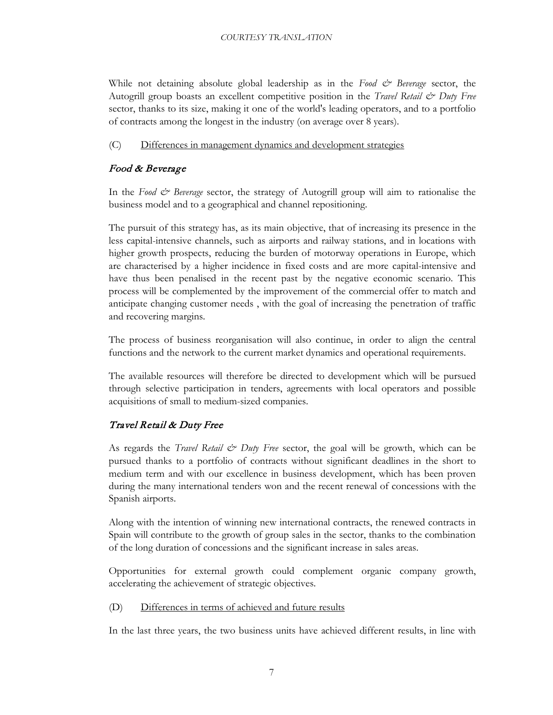While not detaining absolute global leadership as in the *Food*  $\breve{c}$  *Beverage* sector, the Autogrill group boasts an excellent competitive position in the *Travel Retail & Duty Free* sector, thanks to its size, making it one of the world's leading operators, and to a portfolio of contracts among the longest in the industry (on average over 8 years).

#### $(C)$ Differences in management dynamics and development strategies

# Food & Beverage

In the *Food & Beverage* sector, the strategy of Autogrill group will aim to rationalise the business model and to a geographical and channel repositioning.

The pursuit of this strategy has, as its main objective, that of increasing its presence in the less capital-intensive channels, such as airports and railway stations, and in locations with higher growth prospects, reducing the burden of motorway operations in Europe, which are characterised by a higher incidence in fixed costs and are more capital-intensive and have thus been penalised in the recent past by the negative economic scenario. This process will be complemented by the improvement of the commercial offer to match and anticipate changing customer needs , with the goal of increasing the penetration of traffic and recovering margins.

The process of business reorganisation will also continue, in order to align the central functions and the network to the current market dynamics and operational requirements.

The available resources will therefore be directed to development which will be pursued through selective participation in tenders, agreements with local operators and possible acquisitions of small to medium-sized companies.

## Travel Retail & Duty Free

As regards the *Travel Retail & Duty Free* sector, the goal will be growth, which can be pursued thanks to a portfolio of contracts without significant deadlines in the short to medium term and with our excellence in business development, which has been proven during the many international tenders won and the recent renewal of concessions with the Spanish airports.

Along with the intention of winning new international contracts, the renewed contracts in Spain will contribute to the growth of group sales in the sector, thanks to the combination of the long duration of concessions and the significant increase in sales areas.

Opportunities for external growth could complement organic company growth, accelerating the achievement of strategic objectives.

#### $(D)$ Differences in terms of achieved and future results

In the last three years, the two business units have achieved different results, in line with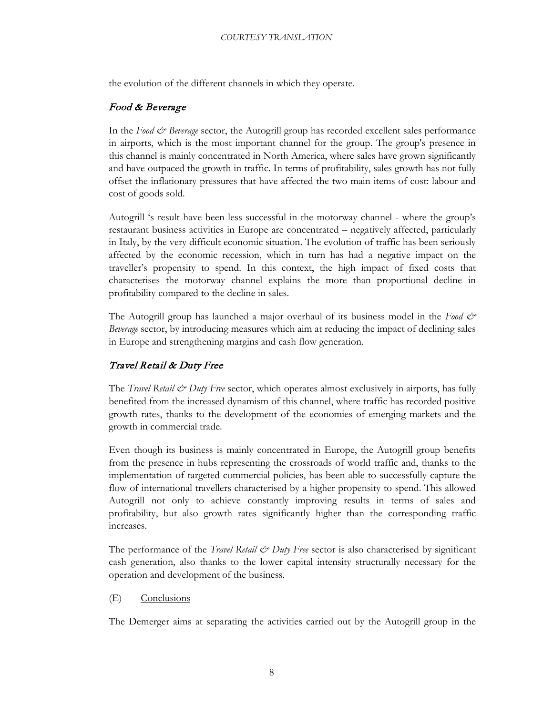the evolution of the different channels in which they operate.

## Food & Beverage

In the *Food & Beverage* sector, the Autogrill group has recorded excellent sales performance in airports, which is the most important channel for the group. The group's presence in this channel is mainly concentrated in North America, where sales have grown significantly and have outpaced the growth in traffic. In terms of profitability, sales growth has not fully offset the inflationary pressures that have affected the two main items of cost: labour and cost of goods sold.

Autogrill 's result have been less successful in the motorway channel - where the group's restaurant business activities in Europe are concentrated – negatively affected, particularly in Italy, by the very difficult economic situation. The evolution of traffic has been seriously affected by the economic recession, which in turn has had a negative impact on the traveller's propensity to spend. In this context, the high impact of fixed costs that characterises the motorway channel explains the more than proportional decline in profitability compared to the decline in sales.

The Autogrill group has launched a major overhaul of its business model in the *Food & Beverage* sector, by introducing measures which aim at reducing the impact of declining sales in Europe and strengthening margins and cash flow generation.

## Travel Retail & Duty Free

The *Travel Retail & Duty Free* sector, which operates almost exclusively in airports, has fully benefited from the increased dynamism of this channel, where traffic has recorded positive growth rates, thanks to the development of the economies of emerging markets and the growth in commercial trade.

Even though its business is mainly concentrated in Europe, the Autogrill group benefits from the presence in hubs representing the crossroads of world traffic and, thanks to the implementation of targeted commercial policies, has been able to successfully capture the flow of international travellers characterised by a higher propensity to spend. This allowed Autogrill not only to achieve constantly improving results in terms of sales and profitability, but also growth rates significantly higher than the corresponding traffic increases.

The performance of the *Travel Retail & Duty Free* sector is also characterised by significant cash generation, also thanks to the lower capital intensity structurally necessary for the operation and development of the business.

(E) **Conclusions** 

The Demerger aims at separating the activities carried out by the Autogrill group in the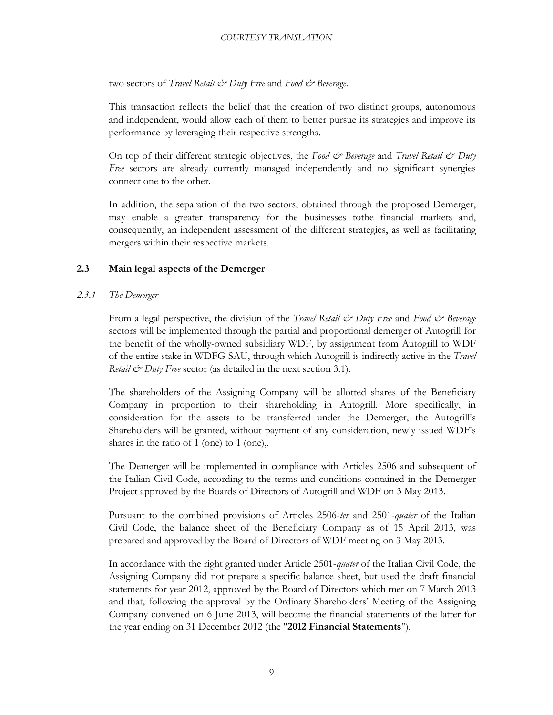two sectors of *Travel Retail & Duty Free* and *Food & Beverage*.

This transaction reflects the belief that the creation of two distinct groups, autonomous and independent, would allow each of them to better pursue its strategies and improve its performance by leveraging their respective strengths.

On top of their different strategic objectives, the *Food & Beverage* and *Travel Retail & Duty Free* sectors are already currently managed independently and no significant synergies connect one to the other.

In addition, the separation of the two sectors, obtained through the proposed Demerger, may enable a greater transparency for the businesses tothe financial markets and, consequently, an independent assessment of the different strategies, as well as facilitating mergers within their respective markets.

## **2.3 Main legal aspects of the Demerger**

## <span id="page-9-1"></span><span id="page-9-0"></span>*2.3.1 The Demerger*

From a legal perspective, the division of the *Travel Retail & Duty Free* and *Food & Beverage* sectors will be implemented through the partial and proportional demerger of Autogrill for the benefit of the wholly-owned subsidiary WDF, by assignment from Autogrill to WDF of the entire stake in WDFG SAU, through which Autogrill is indirectly active in the *Travel Retail & Duty Free* sector (as detailed in the next section 3.1).

The shareholders of the Assigning Company will be allotted shares of the Beneficiary Company in proportion to their shareholding in Autogrill. More specifically, in consideration for the assets to be transferred under the Demerger, the Autogrill's Shareholders will be granted, without payment of any consideration, newly issued WDF's shares in the ratio of 1 (one) to 1 (one),.

The Demerger will be implemented in compliance with Articles 2506 and subsequent of the Italian Civil Code, according to the terms and conditions contained in the Demerger Project approved by the Boards of Directors of Autogrill and WDF on 3 May 2013.

Pursuant to the combined provisions of Articles 2506-*ter* and 2501-*quater* of the Italian Civil Code, the balance sheet of the Beneficiary Company as of 15 April 2013, was prepared and approved by the Board of Directors of WDF meeting on 3 May 2013.

In accordance with the right granted under Article 2501-*quater* of the Italian Civil Code, the Assigning Company did not prepare a specific balance sheet, but used the draft financial statements for year 2012, approved by the Board of Directors which met on 7 March 2013 and that, following the approval by the Ordinary Shareholders' Meeting of the Assigning Company convened on 6 June 2013, will become the financial statements of the latter for the year ending on 31 December 2012 (the "**2012 Financial Statements**").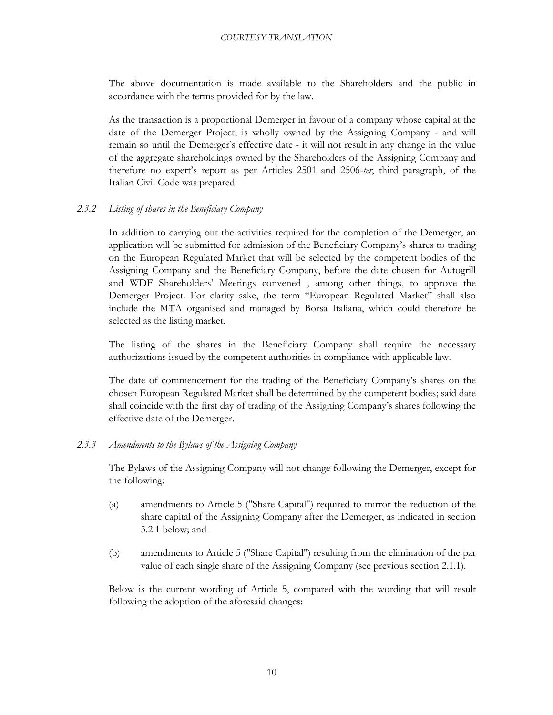The above documentation is made available to the Shareholders and the public in accordance with the terms provided for by the law.

As the transaction is a proportional Demerger in favour of a company whose capital at the date of the Demerger Project, is wholly owned by the Assigning Company - and will remain so until the Demerger's effective date - it will not result in any change in the value of the aggregate shareholdings owned by the Shareholders of the Assigning Company and therefore no expert's report as per Articles 2501 and 2506-*ter*, third paragraph, of the Italian Civil Code was prepared.

## <span id="page-10-0"></span>*2.3.2 Listing of shares in the Beneficiary Company*

In addition to carrying out the activities required for the completion of the Demerger, an application will be submitted for admission of the Beneficiary Company's shares to trading on the European Regulated Market that will be selected by the competent bodies of the Assigning Company and the Beneficiary Company, before the date chosen for Autogrill and WDF Shareholders' Meetings convened , among other things, to approve the Demerger Project. For clarity sake, the term "European Regulated Market" shall also include the MTA organised and managed by Borsa Italiana, which could therefore be selected as the listing market.

The listing of the shares in the Beneficiary Company shall require the necessary authorizations issued by the competent authorities in compliance with applicable law.

The date of commencement for the trading of the Beneficiary Company's shares on the chosen European Regulated Market shall be determined by the competent bodies; said date shall coincide with the first day of trading of the Assigning Company's shares following the effective date of the Demerger.

## <span id="page-10-1"></span>*2.3.3 Amendments to the Bylaws of the Assigning Company*

The Bylaws of the Assigning Company will not change following the Demerger, except for the following:

- (a) amendments to Article 5 ("Share Capital") required to mirror the reduction of the share capital of the Assigning Company after the Demerger, as indicated in section 3.2.1 below; and
- (b) amendments to Article 5 ("Share Capital") resulting from the elimination of the par value of each single share of the Assigning Company (see previous section 2.1.1).

Below is the current wording of Article 5, compared with the wording that will result following the adoption of the aforesaid changes: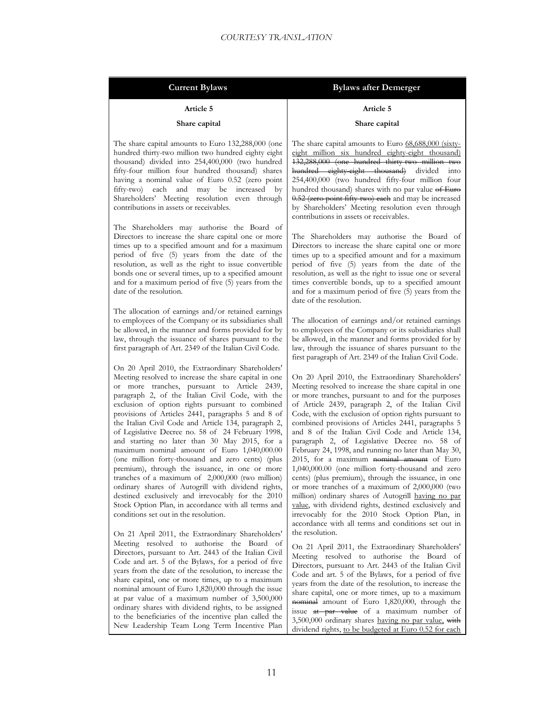| Current Bylaws |  |  |
|----------------|--|--|
|                |  |  |

#### **Bylaws** after Demerger

#### **Article 5**

#### **Share capital**

The share capital amounts to Euro 132,288,000 (one hundred thirty-two million two hundred eighty eight thousand) divided into 254,400,000 (two hundred fifty-four million four hundred thousand) shares having a nominal value of Euro 0.52 (zero point fifty-two) each and may be increased by Shareholders' Meeting resolution even through contributions in assets or receivables.

The Shareholders may authorise the Board of Directors to increase the share capital one or more times up to a specified amount and for a maximum period of five (5) years from the date of the resolution, as well as the right to issue convertible bonds one or several times, up to a specified amount and for a maximum period of five (5) years from the date of the resolution.

The allocation of earnings and/or retained earnings to employees of the Company or its subsidiaries shall be allowed, in the manner and forms provided for by law, through the issuance of shares pursuant to the first paragraph of Art. 2349 of the Italian Civil Code.

On 20 April 2010, the Extraordinary Shareholders' Meeting resolved to increase the share capital in one or more tranches, pursuant to Article 2439, paragraph 2, of the Italian Civil Code, with the exclusion of option rights pursuant to combined provisions of Articles 2441, paragraphs 5 and 8 of the Italian Civil Code and Article 134, paragraph 2, of Legislative Decree no. 58 of 24 February 1998, and starting no later than 30 May 2015, for a maximum nominal amount of Euro 1,040,000.00 (one million forty-thousand and zero cents) (plus premium), through the issuance, in one or more tranches of a maximum of 2,000,000 (two million) ordinary shares of Autogrill with dividend rights, destined exclusively and irrevocably for the 2010 Stock Option Plan, in accordance with all terms and conditions set out in the resolution.

On 21 April 2011, the Extraordinary Shareholders' Meeting resolved to authorise the Board of Directors, pursuant to Art. 2443 of the Italian Civil Code and art. 5 of the Bylaws, for a period of five years from the date of the resolution, to increase the share capital, one or more times, up to a maximum nominal amount of Euro 1,820,000 through the issue at par value of a maximum number of 3,500,000 ordinary shares with dividend rights, to be assigned to the beneficiaries of the incentive plan called the New Leadership Team Long Term Incentive Plan

#### **Article 5**

#### **Share capital**

The share capital amounts to Euro 68,688,000 (sixtyeight million six hundred eighty-eight thousand) 132,288,000 (one hundred thirty-two million two hundred eighty-eight thousand) divided into 254,400,000 (two hundred fifty-four million four hundred thousand) shares with no par value of Euro 0.52 (zero point fifty two) each and may be increased by Shareholders' Meeting resolution even through contributions in assets or receivables.

The Shareholders may authorise the Board of Directors to increase the share capital one or more times up to a specified amount and for a maximum period of five (5) years from the date of the resolution, as well as the right to issue one or several times convertible bonds, up to a specified amount and for a maximum period of five (5) years from the date of the resolution.

The allocation of earnings and/or retained earnings to employees of the Company or its subsidiaries shall be allowed, in the manner and forms provided for by law, through the issuance of shares pursuant to the first paragraph of Art. 2349 of the Italian Civil Code.

On 20 April 2010, the Extraordinary Shareholders' Meeting resolved to increase the share capital in one or more tranches, pursuant to and for the purposes of Article 2439, paragraph 2, of the Italian Civil Code, with the exclusion of option rights pursuant to combined provisions of Articles 2441, paragraphs 5 and 8 of the Italian Civil Code and Article 134, paragraph 2, of Legislative Decree no. 58 of February 24, 1998, and running no later than May 30, 2015, for a maximum nominal amount of Euro 1,040,000.00 (one million forty-thousand and zero cents) (plus premium), through the issuance, in one or more tranches of a maximum of 2,000,000 (two million) ordinary shares of Autogrill having no par value , with dividend rights, destined exclusively and irrevocably for the 2010 Stock Option Plan, in accordance with all terms and conditions set out in the resolution.

On 21 April 2011, the Extraordinary Shareholders' Meeting resolved to authorise the Board of Directors, pursuant to Art. 2443 of the Italian Civil Code and art. 5 of the Bylaws, for a period of five years from the date of the resolution, to increase the share capital, one or more times, up to a maximum nominal amount of Euro 1,820,000, through the issue <del>at par value</del> of a maximum number of 3,500,000 ordinary shares having no par value, with dividend rights, to be budgeted at Euro 0.52 for each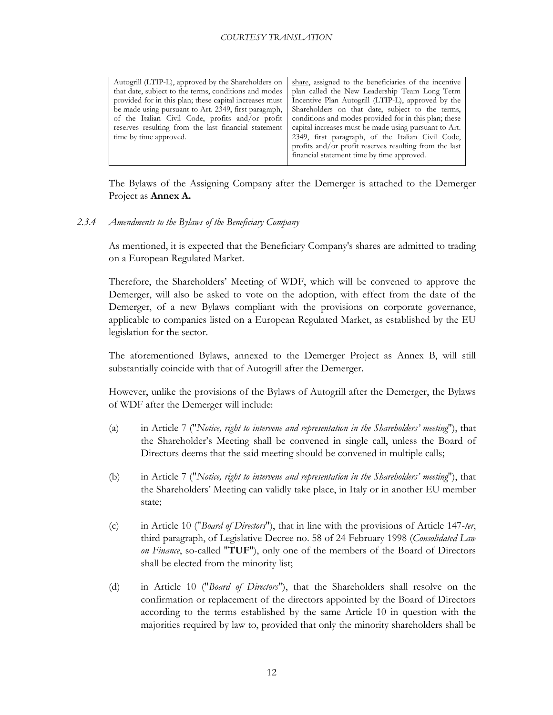| Autogrill (LTIP-L), approved by the Shareholders on<br>that date, subject to the terms, conditions and modes<br>provided for in this plan; these capital increases must<br>be made using pursuant to Art. 2349, first paragraph,<br>of the Italian Civil Code, profits and/or profit<br>reserves resulting from the last financial statement<br>time by time approved. | share, assigned to the beneficiaries of the incentive<br>plan called the New Leadership Team Long Term<br>Incentive Plan Autogrill (LTIP-L), approved by the<br>Shareholders on that date, subject to the terms,<br>conditions and modes provided for in this plan; these<br>capital increases must be made using pursuant to Art.<br>2349, first paragraph, of the Italian Civil Code,<br>profits and/or profit reserves resulting from the last |
|------------------------------------------------------------------------------------------------------------------------------------------------------------------------------------------------------------------------------------------------------------------------------------------------------------------------------------------------------------------------|---------------------------------------------------------------------------------------------------------------------------------------------------------------------------------------------------------------------------------------------------------------------------------------------------------------------------------------------------------------------------------------------------------------------------------------------------|
|                                                                                                                                                                                                                                                                                                                                                                        | financial statement time by time approved.                                                                                                                                                                                                                                                                                                                                                                                                        |

The Bylaws of the Assigning Company after the Demerger is attached to the Demerger Project as **Annex A.**

<span id="page-12-0"></span>*2.3.4 Amendments to the Bylaws of the Beneficiary Company*

As mentioned, it is expected that the Beneficiary Company's shares are admitted to trading on a European Regulated Market.

Therefore, the Shareholders' Meeting of WDF, which will be convened to approve the Demerger, will also be asked to vote on the adoption, with effect from the date of the Demerger, of a new Bylaws compliant with the provisions on corporate governance, applicable to companies listed on a European Regulated Market, as established by the EU legislation for the sector.

The aforementioned Bylaws, annexed to the Demerger Project as Annex B, will still substantially coincide with that of Autogrill after the Demerger.

However, unlike the provisions of the Bylaws of Autogrill after the Demerger, the Bylaws of WDF after the Demerger will include:

- (a) in Article 7 ("*Notice, right to intervene and representation in the Shareholders' meeting*"), that the Shareholder's Meeting shall be convened in single call, unless the Board of Directors deems that the said meeting should be convened in multiple calls;
- (b) in Article 7 ("*Notice, right to intervene and representation in the Shareholders' meeting*"), that the Shareholders' Meeting can validly take place, in Italy or in another EU member state;
- (c) in Article 10 ("*Board of Directors*"), that in line with the provisions of Article 147-*ter*, third paragraph, of Legislative Decree no. 58 of 24 February 1998 (*Consolidated Law on Finance*, so-called "**TUF**"), only one of the members of the Board of Directors shall be elected from the minority list;
- (d) in Article 10 ("*Board of Directors*"), that the Shareholders shall resolve on the confirmation or replacement of the directors appointed by the Board of Directors according to the terms established by the same Article 10 in question with the majorities required by law to, provided that only the minority shareholders shall be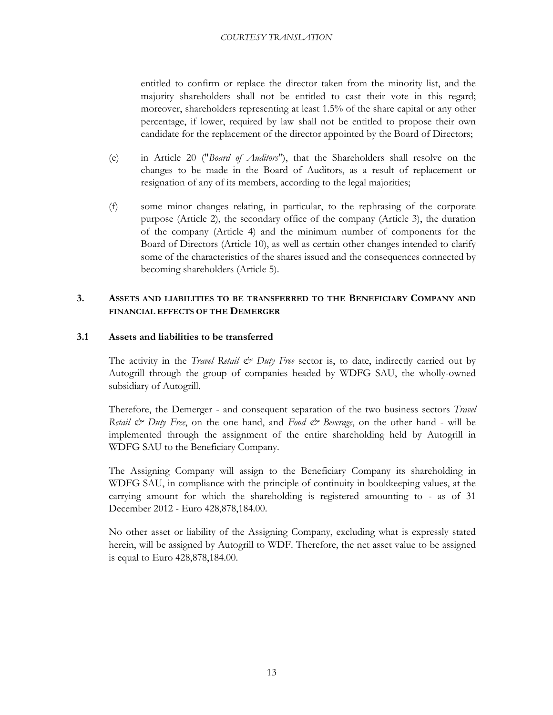entitled to confirm or replace the director taken from the minority list, and the majority shareholders shall not be entitled to cast their vote in this regard; moreover, shareholders representing at least 1.5% of the share capital or any other percentage, if lower, required by law shall not be entitled to propose their own candidate for the replacement of the director appointed by the Board of Directors;

- (e) in Article 20 ("*Board of Auditors*"), that the Shareholders shall resolve on the changes to be made in the Board of Auditors, as a result of replacement or resignation of any of its members, according to the legal majorities;
- (f) some minor changes relating, in particular, to the rephrasing of the corporate purpose (Article 2), the secondary office of the company (Article 3), the duration of the company (Article 4) and the minimum number of components for the Board of Directors (Article 10), as well as certain other changes intended to clarify some of the characteristics of the shares issued and the consequences connected by becoming shareholders (Article 5).

## **3. ASSETS AND LIABILITIES TO BE TRANSFERRED TO THE BENEFICIARY COMPANY AND FINANCIAL EFFECTS OF THE DEMERGER**

## <span id="page-13-1"></span><span id="page-13-0"></span>**3.1 Assets and liabilities to be transferred**

The activity in the *Travel Retail & Duty Free* sector is, to date, indirectly carried out by Autogrill through the group of companies headed by WDFG SAU, the wholly-owned subsidiary of Autogrill.

Therefore, the Demerger - and consequent separation of the two business sectors *Travel Retail & Duty Free*, on the one hand, and *Food & Beverage*, on the other hand - will be implemented through the assignment of the entire shareholding held by Autogrill in WDFG SAU to the Beneficiary Company.

The Assigning Company will assign to the Beneficiary Company its shareholding in WDFG SAU, in compliance with the principle of continuity in bookkeeping values, at the carrying amount for which the shareholding is registered amounting to - as of 31 December 2012 - Euro 428,878,184.00.

No other asset or liability of the Assigning Company, excluding what is expressly stated herein, will be assigned by Autogrill to WDF. Therefore, the net asset value to be assigned is equal to Euro 428,878,184.00.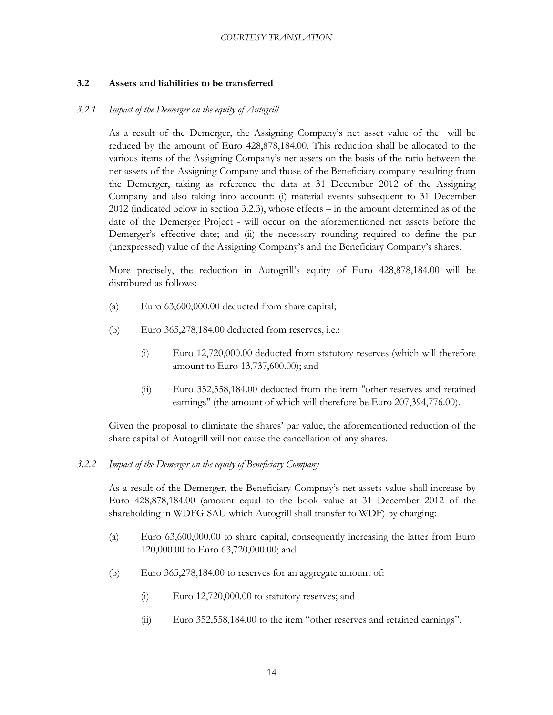## **3.2 Assets and liabilities to be transferred**

#### <span id="page-14-1"></span><span id="page-14-0"></span>*3.2.1 Impact of the Demerger on the equity of Autogrill*

As a result of the Demerger, the Assigning Company's net asset value of the will be reduced by the amount of Euro 428,878,184.00. This reduction shall be allocated to the various items of the Assigning Company's net assets on the basis of the ratio between the net assets of the Assigning Company and those of the Beneficiary company resulting from the Demerger, taking as reference the data at 31 December 2012 of the Assigning Company and also taking into account: (i) material events subsequent to 31 December 2012 (indicated below in section 3.2.3), whose effects – in the amount determined as of the date of the Demerger Project - will occur on the aforementioned net assets before the Demerger's effective date; and (ii) the necessary rounding required to define the par (unexpressed) value of the Assigning Company's and the Beneficiary Company's shares.

More precisely, the reduction in Autogrill's equity of Euro 428,878,184.00 will be distributed as follows:

- (a) Euro 63,600,000.00 deducted from share capital;
- (b) Euro 365,278,184.00 deducted from reserves, i.e.:
	- (i) Euro 12,720,000.00 deducted from statutory reserves (which will therefore amount to Euro 13,737,600.00); and
	- (ii) Euro 352,558,184.00 deducted from the item "other reserves and retained earnings" (the amount of which will therefore be Euro 207,394,776.00).

Given the proposal to eliminate the shares' par value, the aforementioned reduction of the share capital of Autogrill will not cause the cancellation of any shares.

## <span id="page-14-2"></span>*3.2.2 Impact of the Demerger on the equity of Beneficiary Company*

As a result of the Demerger, the Beneficiary Compnay's net assets value shall increase by Euro 428,878,184.00 (amount equal to the book value at 31 December 2012 of the shareholding in WDFG SAU which Autogrill shall transfer to WDF) by charging:

- (a) Euro 63,600,000.00 to share capital, consequently increasing the latter from Euro 120,000.00 to Euro 63,720,000.00; and
- (b) Euro 365,278,184.00 to reserves for an aggregate amount of:
	- (i) Euro 12,720,000.00 to statutory reserves; and
	- (ii) Euro 352,558,184.00 to the item "other reserves and retained earnings".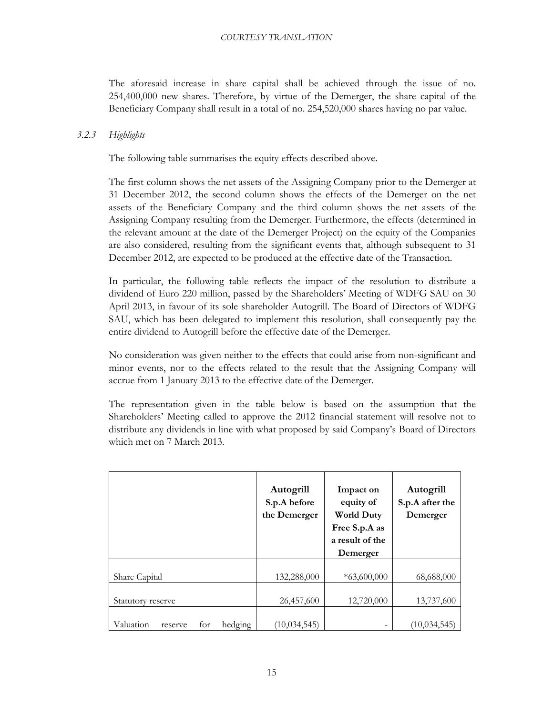The aforesaid increase in share capital shall be achieved through the issue of no. 254,400,000 new shares. Therefore, by virtue of the Demerger, the share capital of the Beneficiary Company shall result in a total of no. 254,520,000 shares having no par value.

## <span id="page-15-1"></span><span id="page-15-0"></span>*3.2.3 Highlights*

The following table summarises the equity effects described above.

The first column shows the net assets of the Assigning Company prior to the Demerger at 31 December 2012, the second column shows the effects of the Demerger on the net assets of the Beneficiary Company and the third column shows the net assets of the Assigning Company resulting from the Demerger. Furthermore, the effects (determined in the relevant amount at the date of the Demerger Project) on the equity of the Companies are also considered, resulting from the significant events that, although subsequent to 31 December 2012, are expected to be produced at the effective date of the Transaction.

In particular, the following table reflects the impact of the resolution to distribute a dividend of Euro 220 million, passed by the Shareholders' Meeting of WDFG SAU on 30 April 2013, in favour of its sole shareholder Autogrill. The Board of Directors of WDFG SAU, which has been delegated to implement this resolution, shall consequently pay the entire dividend to Autogrill before the effective date of the Demerger.

No consideration was given neither to the effects that could arise from non-significant and minor events, nor to the effects related to the result that the Assigning Company will accrue from 1 January 2013 to the effective date of the Demerger.

The representation given in the table below is based on the assumption that the Shareholders' Meeting called to approve the 2012 financial statement will resolve not to distribute any dividends in line with what proposed by said Company's Board of Directors which met on 7 March 2013.

|                                        | Autogrill<br>S.p.A before<br>the Demerger | Impact on<br>equity of<br><b>World Duty</b><br>Free S.p.A as<br>a result of the<br>Demerger | Autogrill<br>S.p.A after the<br>Demerger |
|----------------------------------------|-------------------------------------------|---------------------------------------------------------------------------------------------|------------------------------------------|
| Share Capital                          | 132,288,000                               | $*63,600,000$                                                                               | 68,688,000                               |
| Statutory reserve                      | 26,457,600                                | 12,720,000                                                                                  | 13,737,600                               |
| Valuation<br>hedging<br>for<br>reserve | (10, 034, 545)                            |                                                                                             | (10,034,545                              |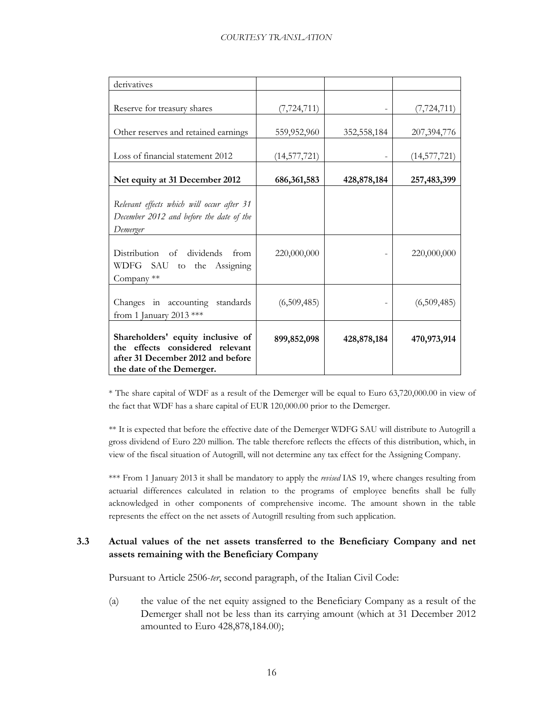| derivatives                                                                                                                            |                |             |                |
|----------------------------------------------------------------------------------------------------------------------------------------|----------------|-------------|----------------|
| Reserve for treasury shares                                                                                                            | (7, 724, 711)  |             | (7, 724, 711)  |
| Other reserves and retained earnings                                                                                                   | 559,952,960    | 352,558,184 | 207,394,776    |
| Loss of financial statement 2012                                                                                                       | (14, 577, 721) |             | (14, 577, 721) |
| Net equity at 31 December 2012                                                                                                         | 686, 361, 583  | 428,878,184 | 257,483,399    |
| Relevant effects which will occur after 31<br>December 2012 and before the date of the<br>Demerger                                     |                |             |                |
| Distribution of dividends from<br>WDFG SAU to the Assigning<br>Company **                                                              | 220,000,000    |             | 220,000,000    |
| Changes in accounting standards<br>from 1 January 2013 ***                                                                             | (6,509,485)    |             | (6,509,485)    |
| Shareholders' equity inclusive of<br>the effects considered relevant<br>after 31 December 2012 and before<br>the date of the Demerger. | 899,852,098    | 428,878,184 | 470,973,914    |

\* The share capital of WDF as a result of the Demerger will be equal to Euro 63,720,000.00 in view of the fact that WDF has a share capital of EUR 120,000.00 prior to the Demerger.

\*\* It is expected that before the effective date of the Demerger WDFG SAU will distribute to Autogrill a gross dividend of Euro 220 million. The table therefore reflects the effects of this distribution, which, in view of the fiscal situation of Autogrill, will not determine any tax effect for the Assigning Company.

\*\*\* From 1 January 2013 it shall be mandatory to apply the *revised* IAS 19, where changes resulting from actuarial differences calculated in relation to the programs of employee benefits shall be fully acknowledged in other components of comprehensive income. The amount shown in the table represents the effect on the net assets of Autogrill resulting from such application.

## <span id="page-16-0"></span>**3.3 Actual values of the net assets transferred to the Beneficiary Company and net assets remaining with the Beneficiary Company**

Pursuant to Article 2506-*ter*, second paragraph, of the Italian Civil Code:

(a) the value of the net equity assigned to the Beneficiary Company as a result of the Demerger shall not be less than its carrying amount (which at 31 December 2012 amounted to Euro 428,878,184.00);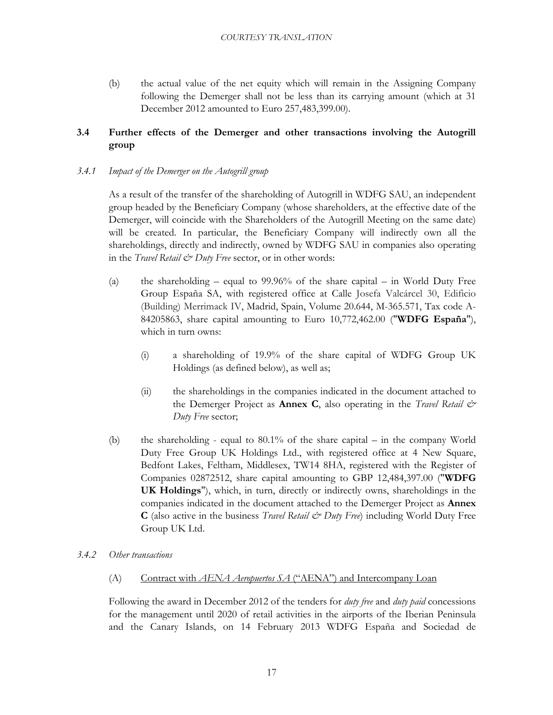(b) the actual value of the net equity which will remain in the Assigning Company following the Demerger shall not be less than its carrying amount (which at 31 December 2012 amounted to Euro 257,483,399.00).

## **3.4 Further effects of the Demerger and other transactions involving the Autogrill group**

## <span id="page-17-1"></span><span id="page-17-0"></span>*3.4.1 Impact of the Demerger on the Autogrill group*

As a result of the transfer of the shareholding of Autogrill in WDFG SAU, an independent group headed by the Beneficiary Company (whose shareholders, at the effective date of the Demerger, will coincide with the Shareholders of the Autogrill Meeting on the same date) will be created. In particular, the Beneficiary Company will indirectly own all the shareholdings, directly and indirectly, owned by WDFG SAU in companies also operating in the *Travel Retail & Duty Free* sector, or in other words:

- (a) the shareholding equal to 99.96% of the share capital in World Duty Free Group España SA, with registered office at Calle Josefa Valcárcel 30, Edificio (Building) Merrimack IV, Madrid, Spain, Volume 20.644, M-365.571, Tax code A-84205863, share capital amounting to Euro 10,772,462.00 ("**WDFG España**"), which in turn owns:
	- (i) a shareholding of 19.9% of the share capital of WDFG Group UK Holdings (as defined below), as well as;
	- (ii) the shareholdings in the companies indicated in the document attached to the Demerger Project as **Annex C**, also operating in the *Travel Retail & Duty Free* sector;
- (b) the shareholding equal to 80.1% of the share capital in the company World Duty Free Group UK Holdings Ltd., with registered office at 4 New Square, Bedfont Lakes, Feltham, Middlesex, TW14 8HA, registered with the Register of Companies 02872512, share capital amounting to GBP 12,484,397.00 ("**WDFG UK Holdings**"), which, in turn, directly or indirectly owns, shareholdings in the companies indicated in the document attached to the Demerger Project as **Annex C** (also active in the business *Travel Retail & Duty Free*) including World Duty Free Group UK Ltd.

## <span id="page-17-3"></span><span id="page-17-2"></span>*3.4.2 Other transactions*

(A) Contract with *AENA Aeropuertos SA* ("AENA") and Intercompany Loan

Following the award in December 2012 of the tenders for *duty free* and *duty paid* concessions for the management until 2020 of retail activities in the airports of the Iberian Peninsula and the Canary Islands, on 14 February 2013 WDFG España and Sociedad de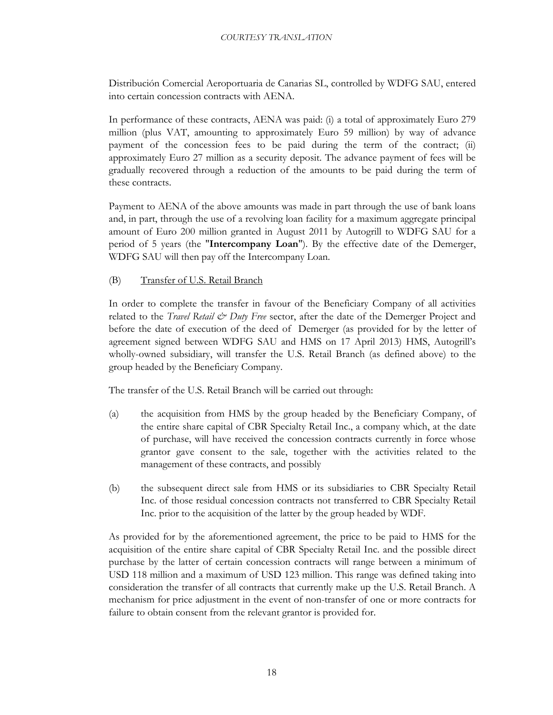Distribución Comercial Aeroportuaria de Canarias SL, controlled by WDFG SAU, entered into certain concession contracts with AENA.

In performance of these contracts, AENA was paid: (i) a total of approximately Euro 279 million (plus VAT, amounting to approximately Euro 59 million) by way of advance payment of the concession fees to be paid during the term of the contract; (ii) approximately Euro 27 million as a security deposit. The advance payment of fees will be gradually recovered through a reduction of the amounts to be paid during the term of these contracts.

Payment to AENA of the above amounts was made in part through the use of bank loans and, in part, through the use of a revolving loan facility for a maximum aggregate principal amount of Euro 200 million granted in August 2011 by Autogrill to WDFG SAU for a period of 5 years (the "**Intercompany Loan**"). By the effective date of the Demerger, WDFG SAU will then pay off the Intercompany Loan.

#### (B) Transfer of U.S. Retail Branch

In order to complete the transfer in favour of the Beneficiary Company of all activities related to the *Travel Retail & Duty Free* sector, after the date of the Demerger Project and before the date of execution of the deed of Demerger (as provided for by the letter of agreement signed between WDFG SAU and HMS on 17 April 2013) HMS, Autogrill's wholly-owned subsidiary, will transfer the U.S. Retail Branch (as defined above) to the group headed by the Beneficiary Company.

The transfer of the U.S. Retail Branch will be carried out through:

- (a) the acquisition from HMS by the group headed by the Beneficiary Company, of the entire share capital of CBR Specialty Retail Inc., a company which, at the date of purchase, will have received the concession contracts currently in force whose grantor gave consent to the sale, together with the activities related to the management of these contracts, and possibly
- (b) the subsequent direct sale from HMS or its subsidiaries to CBR Specialty Retail Inc. of those residual concession contracts not transferred to CBR Specialty Retail Inc. prior to the acquisition of the latter by the group headed by WDF.

As provided for by the aforementioned agreement, the price to be paid to HMS for the acquisition of the entire share capital of CBR Specialty Retail Inc. and the possible direct purchase by the latter of certain concession contracts will range between a minimum of USD 118 million and a maximum of USD 123 million. This range was defined taking into consideration the transfer of all contracts that currently make up the U.S. Retail Branch. A mechanism for price adjustment in the event of non-transfer of one or more contracts for failure to obtain consent from the relevant grantor is provided for.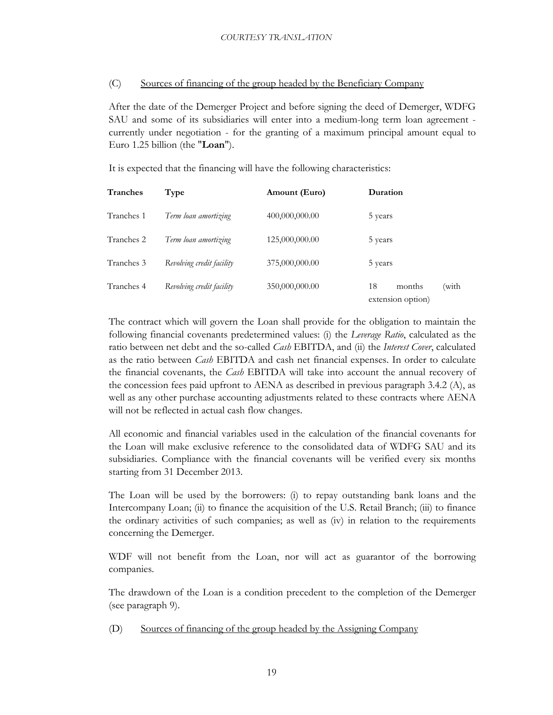#### $(C)$ Sources of financing of the group headed by the Beneficiary Company

After the date of the Demerger Project and before signing the deed of Demerger, WDFG SAU and some of its subsidiaries will enter into a medium-long term loan agreement currently under negotiation - for the granting of a maximum principal amount equal to Euro 1.25 billion (the "**Loan**").

It is expected that the financing will have the following characteristics:

| Tranches   | Type                      | Amount (Euro)  | Duration                                   |
|------------|---------------------------|----------------|--------------------------------------------|
| Tranches 1 | Term loan amortizing      | 400,000,000.00 | 5 years                                    |
| Tranches 2 | Term loan amortizing      | 125,000,000.00 | 5 years                                    |
| Tranches 3 | Revolving credit facility | 375,000,000.00 | 5 years                                    |
| Tranches 4 | Revolving credit facility | 350,000,000.00 | (with<br>18<br>months<br>extension option) |

The contract which will govern the Loan shall provide for the obligation to maintain the following financial covenants predetermined values: (i) the *Leverage Ratio*, calculated as the ratio between net debt and the so-called *Cash* EBITDA, and (ii) the *Interest Cover*, calculated as the ratio between *Cash* EBITDA and cash net financial expenses. In order to calculate the financial covenants, the *Cash* EBITDA will take into account the annual recovery of the concession fees paid upfront to AENA as described in previous paragraph 3.4.2 (A), as well as any other purchase accounting adjustments related to these contracts where AENA will not be reflected in actual cash flow changes.

All economic and financial variables used in the calculation of the financial covenants for the Loan will make exclusive reference to the consolidated data of WDFG SAU and its subsidiaries. Compliance with the financial covenants will be verified every six months starting from 31 December 2013.

The Loan will be used by the borrowers: (i) to repay outstanding bank loans and the Intercompany Loan; (ii) to finance the acquisition of the U.S. Retail Branch; (iii) to finance the ordinary activities of such companies; as well as (iv) in relation to the requirements concerning the Demerger.

WDF will not benefit from the Loan, nor will act as guarantor of the borrowing companies.

The drawdown of the Loan is a condition precedent to the completion of the Demerger (see paragraph 9).

(D) Sources of financing of the group headed by the Assigning Company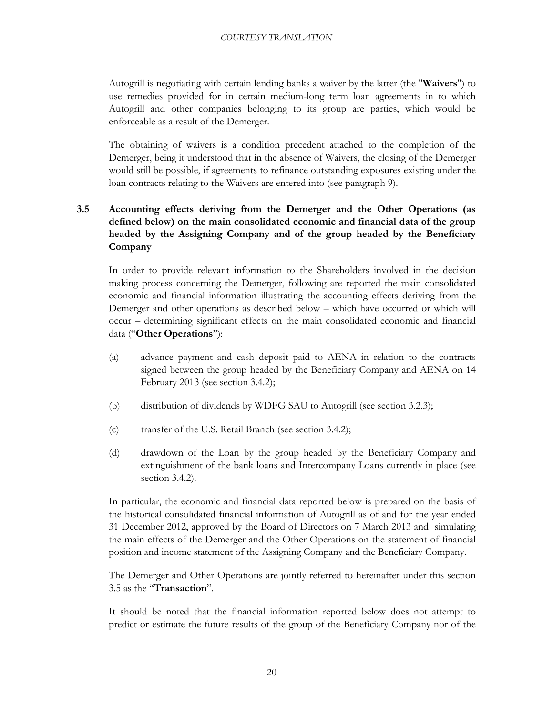Autogrill is negotiating with certain lending banks a waiver by the latter (the "**Waivers**") to use remedies provided for in certain medium-long term loan agreements in to which Autogrill and other companies belonging to its group are parties, which would be enforceable as a result of the Demerger.

The obtaining of waivers is a condition precedent attached to the completion of the Demerger, being it understood that in the absence of Waivers, the closing of the Demerger would still be possible, if agreements to refinance outstanding exposures existing under the loan contracts relating to the Waivers are entered into (see paragraph 9).

## <span id="page-20-0"></span>**3.5 Accounting effects deriving from the Demerger and the Other Operations (as defined below) on the main consolidated economic and financial data of the group headed by the Assigning Company and of the group headed by the Beneficiary Company**

In order to provide relevant information to the Shareholders involved in the decision making process concerning the Demerger, following are reported the main consolidated economic and financial information illustrating the accounting effects deriving from the Demerger and other operations as described below – which have occurred or which will occur – determining significant effects on the main consolidated economic and financial data ("**Other Operations**"):

- (a) advance payment and cash deposit paid to AENA in relation to the contracts signed between the group headed by the Beneficiary Company and AENA on 14 February 2013 (see section [3.4.2\)](#page-17-3);
- (b) distribution of dividends by WDFG SAU to Autogrill (see section [3.2.3\)](#page-15-1);
- (c) transfer of the U.S. Retail Branch (see section [3.4.2\)](#page-17-3);
- (d) drawdown of the Loan by the group headed by the Beneficiary Company and extinguishment of the bank loans and Intercompany Loans currently in place (see section [3.4.2\)](#page-17-3).

In particular, the economic and financial data reported below is prepared on the basis of the historical consolidated financial information of Autogrill as of and for the year ended 31 December 2012, approved by the Board of Directors on 7 March 2013 and simulating the main effects of the Demerger and the Other Operations on the statement of financial position and income statement of the Assigning Company and the Beneficiary Company.

The Demerger and Other Operations are jointly referred to hereinafter under this section 3.5 as the "**Transaction**".

It should be noted that the financial information reported below does not attempt to predict or estimate the future results of the group of the Beneficiary Company nor of the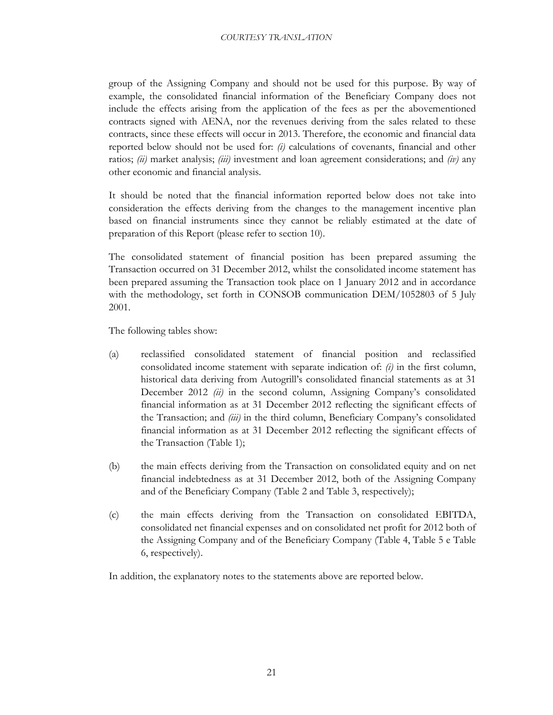group of the Assigning Company and should not be used for this purpose. By way of example, the consolidated financial information of the Beneficiary Company does not include the effects arising from the application of the fees as per the abovementioned contracts signed with AENA, nor the revenues deriving from the sales related to these contracts, since these effects will occur in 2013. Therefore, the economic and financial data reported below should not be used for: *(i)* calculations of covenants, financial and other ratios; *(ii)* market analysis; *(iii)* investment and loan agreement considerations; and *(iv)* any other economic and financial analysis.

It should be noted that the financial information reported below does not take into consideration the effects deriving from the changes to the management incentive plan based on financial instruments since they cannot be reliably estimated at the date of preparation of this Report (please refer to section 10).

The consolidated statement of financial position has been prepared assuming the Transaction occurred on 31 December 2012, whilst the consolidated income statement has been prepared assuming the Transaction took place on 1 January 2012 and in accordance with the methodology, set forth in CONSOB communication DEM/1052803 of 5 July 2001.

The following tables show:

- (a) reclassified consolidated statement of financial position and reclassified consolidated income statement with separate indication of: *(i)* in the first column, historical data deriving from Autogrill's consolidated financial statements as at 31 December 2012 *(ii)* in the second column, Assigning Company's consolidated financial information as at 31 December 2012 reflecting the significant effects of the Transaction; and *(iii)* in the third column, Beneficiary Company's consolidated financial information as at 31 December 2012 reflecting the significant effects of the Transaction (Table 1);
- (b) the main effects deriving from the Transaction on consolidated equity and on net financial indebtedness as at 31 December 2012, both of the Assigning Company and of the Beneficiary Company (Table 2 and Table 3, respectively);
- (c) the main effects deriving from the Transaction on consolidated EBITDA, consolidated net financial expenses and on consolidated net profit for 2012 both of the Assigning Company and of the Beneficiary Company (Table 4, Table 5 e Table 6, respectively).

In addition, the explanatory notes to the statements above are reported below.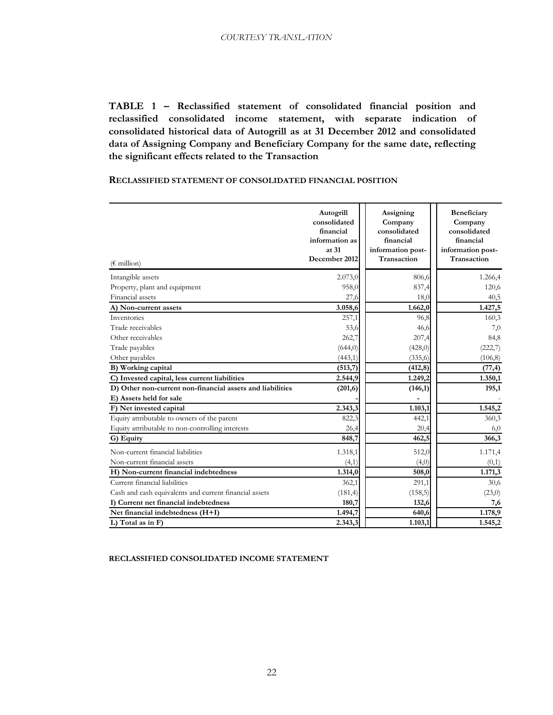**TABLE 1 – Reclassified statement of consolidated financial position and reclassified consolidated income statement, with separate indication of consolidated historical data of Autogrill as at 31 December 2012 and consolidated data of Assigning Company and Beneficiary Company for the same date, reflecting the significant effects related to the Transaction**

## **RECLASSIFIED STATEMENT OF CONSOLIDATED FINANCIAL POSITION**

| $(\epsilon \text{ million})$                              | Autogrill<br>consolidated<br>financial<br>information as<br>at 31<br>December 2012 | Assigning<br>Company<br>consolidated<br>financial<br>information post-<br>Transaction | Beneficiary<br>Company<br>consolidated<br>financial<br>information post-<br>Transaction |
|-----------------------------------------------------------|------------------------------------------------------------------------------------|---------------------------------------------------------------------------------------|-----------------------------------------------------------------------------------------|
| Intangible assets                                         | 2.073,0                                                                            | 806,6                                                                                 | 1.266,4                                                                                 |
| Property, plant and equipment                             | 958,0                                                                              | 837,4                                                                                 | 120,6                                                                                   |
| Financial assets                                          | 27,6                                                                               | 18,0                                                                                  | 40,5                                                                                    |
| A) Non-current assets                                     | 3.058,6                                                                            | 1.662,0                                                                               | 1.427,5                                                                                 |
| Inventories                                               | 257,1                                                                              | 96,8                                                                                  | 160,3                                                                                   |
| Trade receivables                                         | 53,6                                                                               | 46,6                                                                                  | 7,0                                                                                     |
| Other receivables                                         | 262,7                                                                              | 207,4                                                                                 | 84,8                                                                                    |
| Trade payables                                            | (644, 0)                                                                           | (428, 0)                                                                              | (222,7)                                                                                 |
| Other payables                                            | (443,1)                                                                            | (335,6)                                                                               | (106, 8)                                                                                |
| B) Working capital                                        | (513,7)                                                                            | (412, 8)                                                                              | (77, 4)                                                                                 |
| C) Invested capital, less current liabilities             | 2.544,9                                                                            | 1.249,2                                                                               | 1.350,1                                                                                 |
| D) Other non-current non-financial assets and liabilities | (201,6)                                                                            | (146,1)                                                                               | 195,1                                                                                   |
| E) Assets held for sale                                   |                                                                                    |                                                                                       |                                                                                         |
| F) Net invested capital                                   | 2.343,3                                                                            | 1.103,1                                                                               | 1.545,2                                                                                 |
| Equity attributable to owners of the parent               | 822,3                                                                              | 442,1                                                                                 | 360,3                                                                                   |
| Equity attributable to non-controlling interests          | 26,4                                                                               | 20,4                                                                                  | 6,0                                                                                     |
| G) Equity                                                 | 848,7                                                                              | 462,5                                                                                 | 366,3                                                                                   |
| Non-current financial liabilities                         | 1.318,1                                                                            | 512,0                                                                                 | 1.171,4                                                                                 |
| Non-current financial assets                              | (4,1)                                                                              | (4,0)                                                                                 | (0,1)                                                                                   |
| H) Non-current financial indebtedness                     | 1.314,0                                                                            | 508,0                                                                                 | 1.171,3                                                                                 |
| Current financial liabilities                             | 362,1                                                                              | 291,1                                                                                 | 30,6                                                                                    |
| Cash and cash equivalents and current financial assets    | (181,4)                                                                            | (158,5)                                                                               | (23,0)                                                                                  |
| I) Current net financial indebtedness                     | 180,7                                                                              | 132,6                                                                                 | 7,6                                                                                     |
| Net financial indebtedness (H+I)                          | 1.494,7                                                                            | 640,6                                                                                 | 1.178,9                                                                                 |
| L) Total as in F)                                         | 2.343,3                                                                            | 1.103,1                                                                               | 1.545,2                                                                                 |

**RECLASSIFIED CONSOLIDATED INCOME STATEMENT**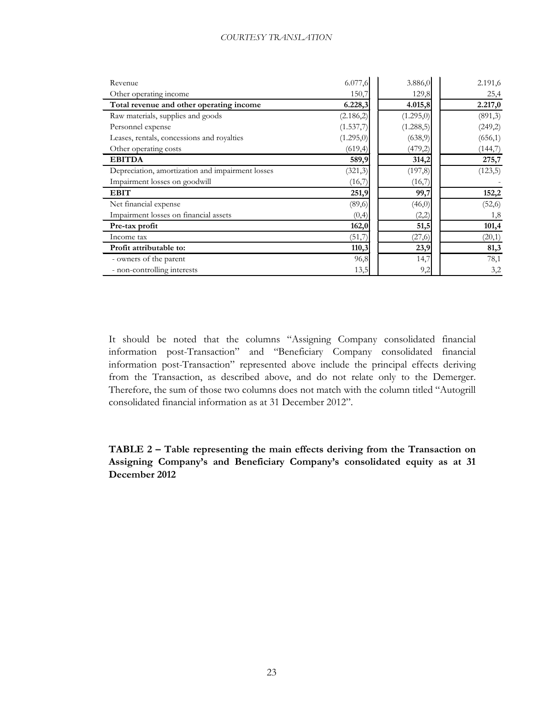| Revenue                                          | 6.077,6   | 3.886,0    | 2.191,6  |
|--------------------------------------------------|-----------|------------|----------|
| Other operating income                           | 150,7     | 129,8      | 25,4     |
| Total revenue and other operating income         | 6.228,3   | 4.015,8    | 2.217,0  |
| Raw materials, supplies and goods                | (2.186,2) | (1.295,0)  | (891,3)  |
| Personnel expense                                | (1.537,7) | (1.288, 5) | (249,2)  |
| Leases, rentals, concessions and royalties       | (1.295,0) | (638,9)    | (656, 1) |
| Other operating costs                            | (619, 4)  | (479,2)    | (144,7)  |
| <b>EBITDA</b>                                    | 589,9     | 314,2      | 275,7    |
| Depreciation, amortization and impairment losses | (321,3)   | (197, 8)   | (123,5)  |
| Impairment losses on goodwill                    | (16,7)    | (16,7)     |          |
| <b>EBIT</b>                                      | 251,9     | 99,7       | 152,2    |
| Net financial expense                            | (89,6)    | (46,0)     | (52,6)   |
| Impairment losses on financial assets            | (0,4)     | (2,2)      | 1,8      |
| Pre-tax profit                                   | 162,0     | 51,5       | 101,4    |
| Income tax                                       | (51,7)    | (27, 6)    | (20,1)   |
| Profit attributable to:                          | 110,3     | 23,9       | 81,3     |
| - owners of the parent                           | 96,8      | 14,7       | 78,1     |
| - non-controlling interests                      | 13,5      | 9,2        | 3,2      |

It should be noted that the columns "Assigning Company consolidated financial information post-Transaction" and "Beneficiary Company consolidated financial information post-Transaction" represented above include the principal effects deriving from the Transaction, as described above, and do not relate only to the Demerger. Therefore, the sum of those two columns does not match with the column titled "Autogrill consolidated financial information as at 31 December 2012".

**TABLE 2 – Table representing the main effects deriving from the Transaction on Assigning Company's and Beneficiary Company's consolidated equity as at 31 December 2012**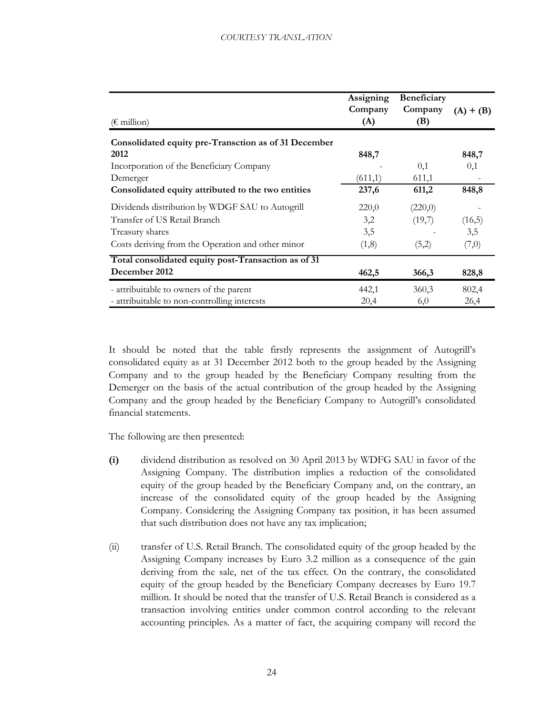| $(\epsilon \text{ million})$                         | Assigning<br>Company<br>(A) | Beneficiary<br>Company<br>(B) | $(A) + (B)$ |
|------------------------------------------------------|-----------------------------|-------------------------------|-------------|
| Consolidated equity pre-Transction as of 31 December |                             |                               |             |
| 2012                                                 | 848,7                       |                               | 848,7       |
| Incorporation of the Beneficiary Company             |                             | 0,1                           | 0,1         |
| Demerger                                             | (611,1)                     | 611,1                         |             |
| Consolidated equity attributed to the two entities   | 237,6                       | 611,2                         | 848,8       |
| Dividends distribution by WDGF SAU to Autogrill      | 220,0                       | (220,0)                       |             |
| Transfer of US Retail Branch                         | 3,2                         | (19,7)                        | (16,5)      |
| Treasury shares                                      | 3,5                         |                               | 3,5         |
| Costs deriving from the Operation and other minor    | (1,8)                       | (5,2)                         | (7,0)       |
| Total consolidated equity post-Transaction as of 31  |                             |                               |             |
| December 2012                                        | 462,5                       | 366,3                         | 828,8       |
| - attribuitable to owners of the parent              | 442,1                       | 360,3                         | 802,4       |
| - attribuitable to non-controlling interests         | 20,4                        | 6,0                           | 26,4        |

It should be noted that the table firstly represents the assignment of Autogrill's consolidated equity as at 31 December 2012 both to the group headed by the Assigning Company and to the group headed by the Beneficiary Company resulting from the Demerger on the basis of the actual contribution of the group headed by the Assigning Company and the group headed by the Beneficiary Company to Autogrill's consolidated financial statements.

The following are then presented:

- **(i)** dividend distribution as resolved on 30 April 2013 by WDFG SAU in favor of the Assigning Company. The distribution implies a reduction of the consolidated equity of the group headed by the Beneficiary Company and, on the contrary, an increase of the consolidated equity of the group headed by the Assigning Company. Considering the Assigning Company tax position, it has been assumed that such distribution does not have any tax implication;
- (ii) transfer of U.S. Retail Branch. The consolidated equity of the group headed by the Assigning Company increases by Euro 3.2 million as a consequence of the gain deriving from the sale, net of the tax effect. On the contrary, the consolidated equity of the group headed by the Beneficiary Company decreases by Euro 19.7 million. It should be noted that the transfer of U.S. Retail Branch is considered as a transaction involving entities under common control according to the relevant accounting principles. As a matter of fact, the acquiring company will record the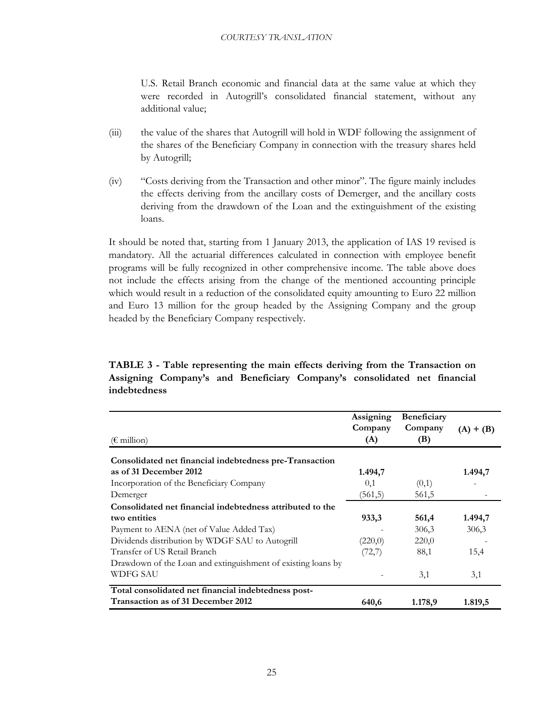U.S. Retail Branch economic and financial data at the same value at which they were recorded in Autogrill's consolidated financial statement, without any additional value;

- (iii) the value of the shares that Autogrill will hold in WDF following the assignment of the shares of the Beneficiary Company in connection with the treasury shares held by Autogrill;
- (iv) "Costs deriving from the Transaction and other minor". The figure mainly includes the effects deriving from the ancillary costs of Demerger, and the ancillary costs deriving from the drawdown of the Loan and the extinguishment of the existing loans.

It should be noted that, starting from 1 January 2013, the application of IAS 19 revised is mandatory. All the actuarial differences calculated in connection with employee benefit programs will be fully recognized in other comprehensive income. The table above does not include the effects arising from the change of the mentioned accounting principle which would result in a reduction of the consolidated equity amounting to Euro 22 million and Euro 13 million for the group headed by the Assigning Company and the group headed by the Beneficiary Company respectively.

## **TABLE 3 - Table representing the main effects deriving from the Transaction on Assigning Company's and Beneficiary Company's consolidated net financial indebtedness**

|                                                              | Assigning<br>Company | Beneficiary<br>Company | $(A) + (B)$ |
|--------------------------------------------------------------|----------------------|------------------------|-------------|
| $(\epsilon \text{ million})$                                 | (A)                  | (B)                    |             |
| Consolidated net financial indebtedness pre-Transaction      |                      |                        |             |
| as of 31 December 2012                                       | 1.494,7              |                        | 1.494,7     |
| Incorporation of the Beneficiary Company                     | 0,1                  | (0,1)                  |             |
| Demerger                                                     | (561, 5)             | 561,5                  |             |
| Consolidated net financial indebtedness attributed to the    |                      |                        |             |
| two entities                                                 | 933,3                | 561,4                  | 1.494,7     |
| Payment to AENA (net of Value Added Tax)                     |                      | 306,3                  | 306,3       |
| Dividends distribution by WDGF SAU to Autogrill              | (220,0)              | 220,0                  |             |
| Transfer of US Retail Branch                                 | (72,7)               | 88,1                   | 15,4        |
| Drawdown of the Loan and extinguishment of existing loans by |                      |                        |             |
| WDFG SAU                                                     |                      | 3,1                    | 3,1         |
| Total consolidated net financial indebtedness post-          |                      |                        |             |
| Transaction as of 31 December 2012                           | 640,6                | 1.178,9                | 1.819,5     |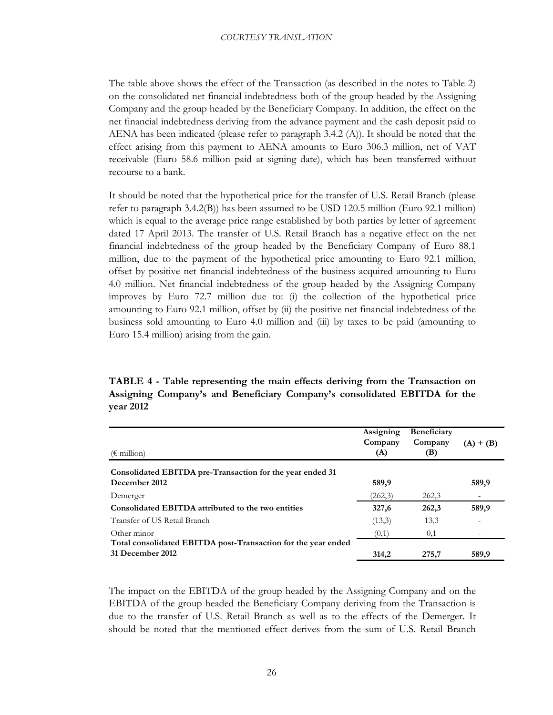The table above shows the effect of the Transaction (as described in the notes to Table 2) on the consolidated net financial indebtedness both of the group headed by the Assigning Company and the group headed by the Beneficiary Company. In addition, the effect on the net financial indebtedness deriving from the advance payment and the cash deposit paid to AENA has been indicated (please refer to paragraph 3.4.2 (A)). It should be noted that the effect arising from this payment to AENA amounts to Euro 306.3 million, net of VAT receivable (Euro 58.6 million paid at signing date), which has been transferred without recourse to a bank.

It should be noted that the hypothetical price for the transfer of U.S. Retail Branch (please refer to paragraph 3.4.2(B)) has been assumed to be USD 120.5 million (Euro 92.1 million) which is equal to the average price range established by both parties by letter of agreement dated 17 April 2013. The transfer of U.S. Retail Branch has a negative effect on the net financial indebtedness of the group headed by the Beneficiary Company of Euro 88.1 million, due to the payment of the hypothetical price amounting to Euro 92.1 million, offset by positive net financial indebtedness of the business acquired amounting to Euro 4.0 million. Net financial indebtedness of the group headed by the Assigning Company improves by Euro 72.7 million due to: (i) the collection of the hypothetical price amounting to Euro 92.1 million, offset by (ii) the positive net financial indebtedness of the business sold amounting to Euro 4.0 million and (iii) by taxes to be paid (amounting to Euro 15.4 million) arising from the gain.

**TABLE 4 - Table representing the main effects deriving from the Transaction on Assigning Company's and Beneficiary Company's consolidated EBITDA for the year 2012**

| $(\epsilon \text{ million})$                                                      | Assigning<br>Company<br>(A) | Beneficiary<br>Company<br>(B) | $(A) + (B)$ |
|-----------------------------------------------------------------------------------|-----------------------------|-------------------------------|-------------|
| Consolidated EBITDA pre-Transaction for the year ended 31<br>December 2012        | 589,9                       |                               | 589,9       |
| Demerger                                                                          | (262,3)                     | 262,3                         |             |
| Consolidated EBITDA attributed to the two entities                                | 327,6                       | 262,3                         | 589,9       |
| Transfer of US Retail Branch                                                      | (13,3)                      | 13,3                          |             |
| Other minor                                                                       | (0,1)                       | 0,1                           |             |
| Total consolidated EBITDA post-Transaction for the year ended<br>31 December 2012 | 314.2                       | 275,7                         | 589,9       |

The impact on the EBITDA of the group headed by the Assigning Company and on the EBITDA of the group headed the Beneficiary Company deriving from the Transaction is due to the transfer of U.S. Retail Branch as well as to the effects of the Demerger. It should be noted that the mentioned effect derives from the sum of U.S. Retail Branch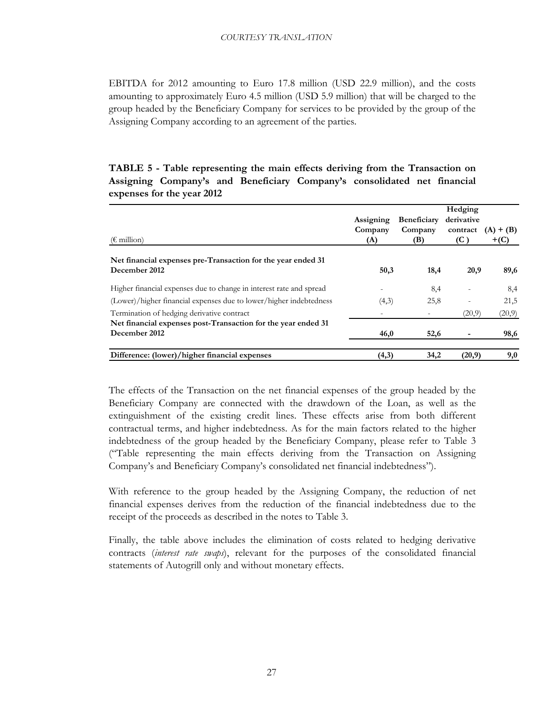EBITDA for 2012 amounting to Euro 17.8 million (USD 22.9 million), and the costs amounting to approximately Euro 4.5 million (USD 5.9 million) that will be charged to the group headed by the Beneficiary Company for services to be provided by the group of the Assigning Company according to an agreement of the parties.

## **TABLE 5 - Table representing the main effects deriving from the Transaction on Assigning Company's and Beneficiary Company's consolidated net financial expenses for the year 2012**

| $(\epsilon \text{ million})$                                                   | Assigning<br>Company<br>(A) | <b>Beneficiary</b><br>Company<br>(B) | Hedging<br>derivative<br>contract<br>(C) | $(A) + (B)$<br>$+(C)$ |
|--------------------------------------------------------------------------------|-----------------------------|--------------------------------------|------------------------------------------|-----------------------|
| Net financial expenses pre-Transaction for the year ended 31<br>December 2012  | 50,3                        | 18,4                                 | 20,9                                     | 89,6                  |
| Higher financial expenses due to change in interest rate and spread            |                             | 8,4                                  |                                          | 8,4                   |
| (Lower)/higher financial expenses due to lower/higher indebtedness             | (4,3)                       | 25,8                                 |                                          | 21,5                  |
| Termination of hedging derivative contract                                     |                             |                                      | (20,9)                                   | (20,9)                |
| Net financial expenses post-Transaction for the year ended 31<br>December 2012 | 46,0                        | 52,6                                 |                                          | 98,6                  |
| Difference: (lower)/higher financial expenses                                  | (4,3)                       | 34,2                                 | (20,9)                                   | 9,0                   |

The effects of the Transaction on the net financial expenses of the group headed by the Beneficiary Company are connected with the drawdown of the Loan, as well as the extinguishment of the existing credit lines. These effects arise from both different contractual terms, and higher indebtedness. As for the main factors related to the higher indebtedness of the group headed by the Beneficiary Company, please refer to Table 3 ("Table representing the main effects deriving from the Transaction on Assigning Company's and Beneficiary Company's consolidated net financial indebtedness").

With reference to the group headed by the Assigning Company, the reduction of net financial expenses derives from the reduction of the financial indebtedness due to the receipt of the proceeds as described in the notes to Table 3.

Finally, the table above includes the elimination of costs related to hedging derivative contracts (*interest rate swaps*), relevant for the purposes of the consolidated financial statements of Autogrill only and without monetary effects.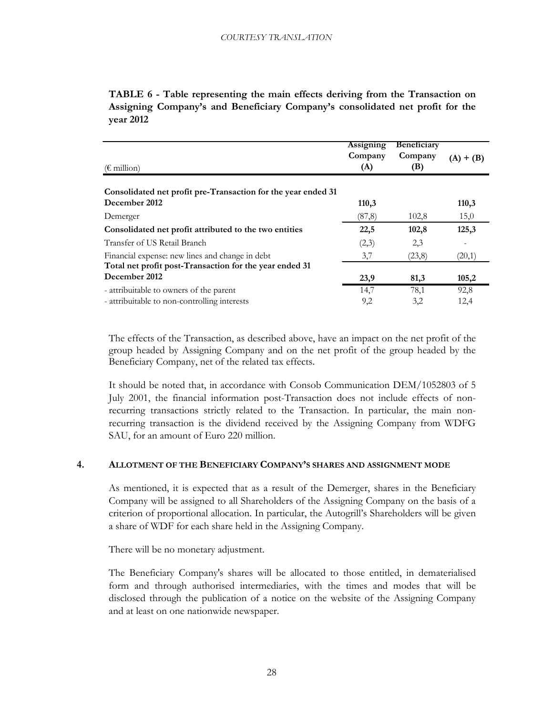**TABLE 6 - Table representing the main effects deriving from the Transaction on Assigning Company's and Beneficiary Company's consolidated net profit for the year 2012**

| $(\epsilon \text{ million})$                                  | <b>Assigning</b><br>Company<br>(A) | <b>Beneficiary</b><br>Company<br>(B) | $(A) + (B)$ |
|---------------------------------------------------------------|------------------------------------|--------------------------------------|-------------|
| Consolidated net profit pre-Transaction for the year ended 31 |                                    |                                      |             |
| December 2012                                                 | 110,3                              |                                      | 110,3       |
| Demerger                                                      | (87,8)                             | 102,8                                | 15,0        |
| Consolidated net profit attributed to the two entities        | 22,5                               | 102,8                                | 125,3       |
| Transfer of US Retail Branch                                  | (2,3)                              | 2,3                                  |             |
| Financial expense: new lines and change in debt               | 3,7                                | (23,8)                               | (20,1)      |
| Total net profit post-Transaction for the year ended 31       |                                    |                                      |             |
| December 2012                                                 | 23,9                               | 81,3                                 | 105,2       |
| - attribuitable to owners of the parent                       | 14,7                               | 78,1                                 | 92,8        |
| - attribuitable to non-controlling interests                  | 9,2                                | 3,2                                  | 12,4        |

The effects of the Transaction, as described above, have an impact on the net profit of the group headed by Assigning Company and on the net profit of the group headed by the Beneficiary Company, net of the related tax effects.

It should be noted that, in accordance with Consob Communication DEM/1052803 of 5 July 2001, the financial information post-Transaction does not include effects of nonrecurring transactions strictly related to the Transaction. In particular, the main nonrecurring transaction is the dividend received by the Assigning Company from WDFG SAU, for an amount of Euro 220 million.

## <span id="page-28-0"></span>**4. ALLOTMENT OF THE BENEFICIARY COMPANY'S SHARES AND ASSIGNMENT MODE**

As mentioned, it is expected that as a result of the Demerger, shares in the Beneficiary Company will be assigned to all Shareholders of the Assigning Company on the basis of a criterion of proportional allocation. In particular, the Autogrill's Shareholders will be given a share of WDF for each share held in the Assigning Company.

There will be no monetary adjustment.

The Beneficiary Company's shares will be allocated to those entitled, in dematerialised form and through authorised intermediaries, with the times and modes that will be disclosed through the publication of a notice on the website of the Assigning Company and at least on one nationwide newspaper.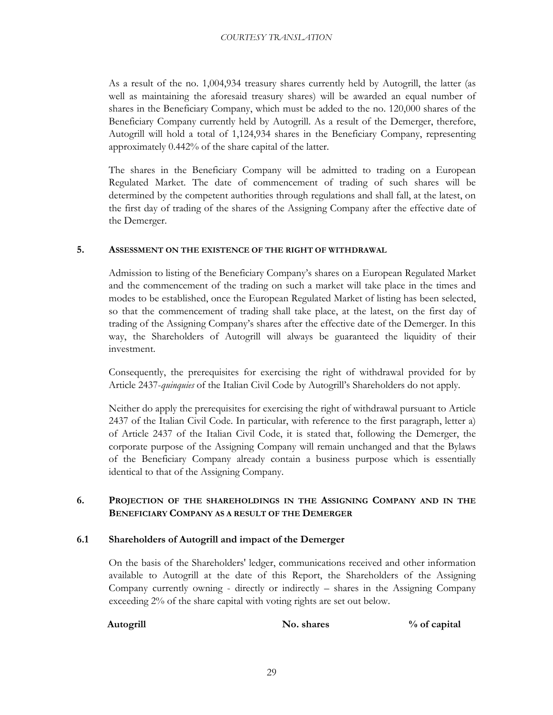As a result of the no. 1,004,934 treasury shares currently held by Autogrill, the latter (as well as maintaining the aforesaid treasury shares) will be awarded an equal number of shares in the Beneficiary Company, which must be added to the no. 120,000 shares of the Beneficiary Company currently held by Autogrill. As a result of the Demerger, therefore, Autogrill will hold a total of 1,124,934 shares in the Beneficiary Company, representing approximately 0.442% of the share capital of the latter.

The shares in the Beneficiary Company will be admitted to trading on a European Regulated Market. The date of commencement of trading of such shares will be determined by the competent authorities through regulations and shall fall, at the latest, on the first day of trading of the shares of the Assigning Company after the effective date of the Demerger.

## <span id="page-29-0"></span>**5. ASSESSMENT ON THE EXISTENCE OF THE RIGHT OF WITHDRAWAL**

Admission to listing of the Beneficiary Company's shares on a European Regulated Market and the commencement of the trading on such a market will take place in the times and modes to be established, once the European Regulated Market of listing has been selected, so that the commencement of trading shall take place, at the latest, on the first day of trading of the Assigning Company's shares after the effective date of the Demerger. In this way, the Shareholders of Autogrill will always be guaranteed the liquidity of their investment.

Consequently, the prerequisites for exercising the right of withdrawal provided for by Article 2437-*quinquies* of the Italian Civil Code by Autogrill's Shareholders do not apply.

Neither do apply the prerequisites for exercising the right of withdrawal pursuant to Article 2437 of the Italian Civil Code. In particular, with reference to the first paragraph, letter a) of Article 2437 of the Italian Civil Code, it is stated that, following the Demerger, the corporate purpose of the Assigning Company will remain unchanged and that the Bylaws of the Beneficiary Company already contain a business purpose which is essentially identical to that of the Assigning Company.

## **6. PROJECTION OF THE SHAREHOLDINGS IN THE ASSIGNING COMPANY AND IN THE BENEFICIARY COMPANY AS A RESULT OF THE DEMERGER**

## <span id="page-29-2"></span><span id="page-29-1"></span>**6.1 Shareholders of Autogrill and impact of the Demerger**

On the basis of the Shareholders' ledger, communications received and other information available to Autogrill at the date of this Report, the Shareholders of the Assigning Company currently owning - directly or indirectly – shares in the Assigning Company exceeding 2% of the share capital with voting rights are set out below.

**Autogrill No. shares % of capital**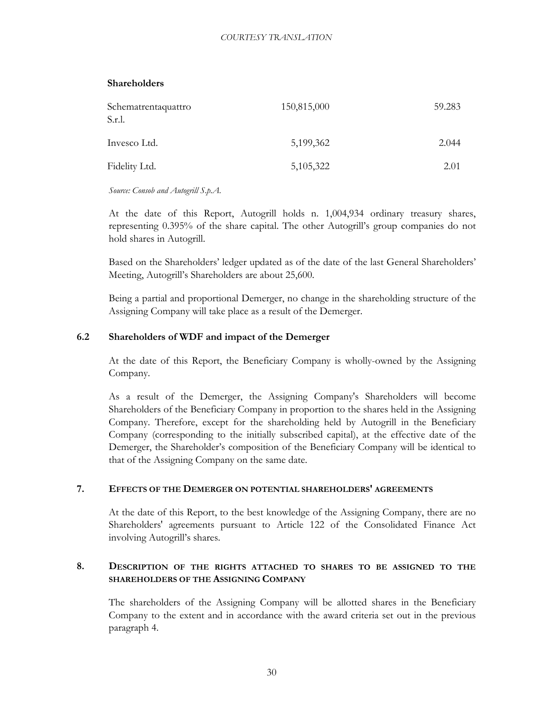## **Shareholders**

| Schematrentaquattro<br>S.r.l. | 150,815,000 | 59.283 |
|-------------------------------|-------------|--------|
| Invesco Ltd.                  | 5,199,362   | 2.044  |
| Fidelity Ltd.                 | 5,105,322   | 2.01   |

*Source: Consob and Autogrill S.p.A.*

At the date of this Report, Autogrill holds n. 1,004,934 ordinary treasury shares, representing 0.395% of the share capital. The other Autogrill's group companies do not hold shares in Autogrill.

Based on the Shareholders' ledger updated as of the date of the last General Shareholders' Meeting, Autogrill's Shareholders are about 25,600.

Being a partial and proportional Demerger, no change in the shareholding structure of the Assigning Company will take place as a result of the Demerger.

## <span id="page-30-0"></span>**6.2 Shareholders of WDF and impact of the Demerger**

At the date of this Report, the Beneficiary Company is wholly-owned by the Assigning Company.

As a result of the Demerger, the Assigning Company's Shareholders will become Shareholders of the Beneficiary Company in proportion to the shares held in the Assigning Company. Therefore, except for the shareholding held by Autogrill in the Beneficiary Company (corresponding to the initially subscribed capital), at the effective date of the Demerger, the Shareholder's composition of the Beneficiary Company will be identical to that of the Assigning Company on the same date.

## <span id="page-30-1"></span>**7. EFFECTS OF THE DEMERGER ON POTENTIAL SHAREHOLDERS' AGREEMENTS**

At the date of this Report, to the best knowledge of the Assigning Company, there are no Shareholders' agreements pursuant to Article 122 of the Consolidated Finance Act involving Autogrill's shares.

## <span id="page-30-2"></span>**8. DESCRIPTION OF THE RIGHTS ATTACHED TO SHARES TO BE ASSIGNED TO THE SHAREHOLDERS OF THE ASSIGNING COMPANY**

The shareholders of the Assigning Company will be allotted shares in the Beneficiary Company to the extent and in accordance with the award criteria set out in the previous paragraph 4.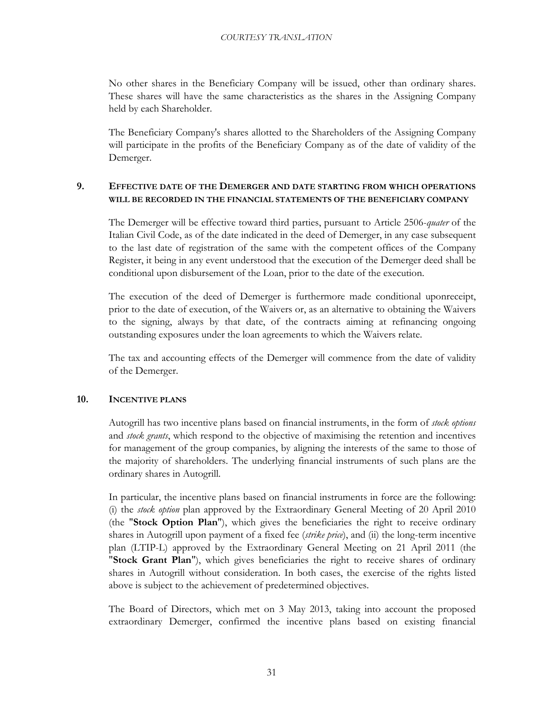No other shares in the Beneficiary Company will be issued, other than ordinary shares. These shares will have the same characteristics as the shares in the Assigning Company held by each Shareholder.

The Beneficiary Company's shares allotted to the Shareholders of the Assigning Company will participate in the profits of the Beneficiary Company as of the date of validity of the Demerger.

## <span id="page-31-0"></span>**9. EFFECTIVE DATE OF THE DEMERGER AND DATE STARTING FROM WHICH OPERATIONS WILL BE RECORDED IN THE FINANCIAL STATEMENTS OF THE BENEFICIARY COMPANY**

The Demerger will be effective toward third parties, pursuant to Article 2506-*quater* of the Italian Civil Code, as of the date indicated in the deed of Demerger, in any case subsequent to the last date of registration of the same with the competent offices of the Company Register, it being in any event understood that the execution of the Demerger deed shall be conditional upon disbursement of the Loan, prior to the date of the execution.

The execution of the deed of Demerger is furthermore made conditional uponreceipt, prior to the date of execution, of the Waivers or, as an alternative to obtaining the Waivers to the signing, always by that date, of the contracts aiming at refinancing ongoing outstanding exposures under the loan agreements to which the Waivers relate.

The tax and accounting effects of the Demerger will commence from the date of validity of the Demerger.

## <span id="page-31-1"></span>**10. INCENTIVE PLANS**

Autogrill has two incentive plans based on financial instruments, in the form of *stock options* and *stock grants*, which respond to the objective of maximising the retention and incentives for management of the group companies, by aligning the interests of the same to those of the majority of shareholders. The underlying financial instruments of such plans are the ordinary shares in Autogrill.

In particular, the incentive plans based on financial instruments in force are the following: (i) the *stock option* plan approved by the Extraordinary General Meeting of 20 April 2010 (the "**Stock Option Plan**"), which gives the beneficiaries the right to receive ordinary shares in Autogrill upon payment of a fixed fee (*strike price*), and (ii) the long-term incentive plan (LTIP-L) approved by the Extraordinary General Meeting on 21 April 2011 (the "**Stock Grant Plan**"), which gives beneficiaries the right to receive shares of ordinary shares in Autogrill without consideration. In both cases, the exercise of the rights listed above is subject to the achievement of predetermined objectives.

The Board of Directors, which met on 3 May 2013, taking into account the proposed extraordinary Demerger, confirmed the incentive plans based on existing financial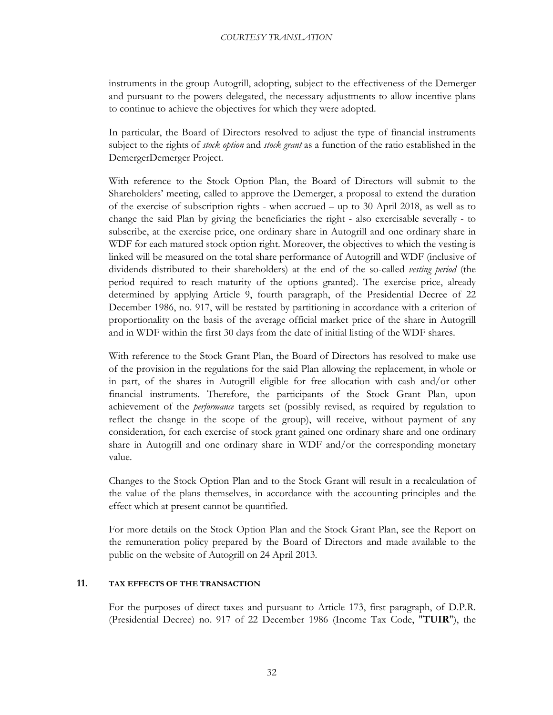instruments in the group Autogrill, adopting, subject to the effectiveness of the Demerger and pursuant to the powers delegated, the necessary adjustments to allow incentive plans to continue to achieve the objectives for which they were adopted.

In particular, the Board of Directors resolved to adjust the type of financial instruments subject to the rights of *stock option* and *stock grant* as a function of the ratio established in the DemergerDemerger Project.

With reference to the Stock Option Plan, the Board of Directors will submit to the Shareholders' meeting, called to approve the Demerger, a proposal to extend the duration of the exercise of subscription rights - when accrued – up to 30 April 2018, as well as to change the said Plan by giving the beneficiaries the right - also exercisable severally - to subscribe, at the exercise price, one ordinary share in Autogrill and one ordinary share in WDF for each matured stock option right. Moreover, the objectives to which the vesting is linked will be measured on the total share performance of Autogrill and WDF (inclusive of dividends distributed to their shareholders) at the end of the so-called *vesting period* (the period required to reach maturity of the options granted). The exercise price, already determined by applying Article 9, fourth paragraph, of the Presidential Decree of 22 December 1986, no. 917, will be restated by partitioning in accordance with a criterion of proportionality on the basis of the average official market price of the share in Autogrill and in WDF within the first 30 days from the date of initial listing of the WDF shares.

With reference to the Stock Grant Plan, the Board of Directors has resolved to make use of the provision in the regulations for the said Plan allowing the replacement, in whole or in part, of the shares in Autogrill eligible for free allocation with cash and/or other financial instruments. Therefore, the participants of the Stock Grant Plan, upon achievement of the *performance* targets set (possibly revised, as required by regulation to reflect the change in the scope of the group), will receive, without payment of any consideration, for each exercise of stock grant gained one ordinary share and one ordinary share in Autogrill and one ordinary share in WDF and/or the corresponding monetary value.

Changes to the Stock Option Plan and to the Stock Grant will result in a recalculation of the value of the plans themselves, in accordance with the accounting principles and the effect which at present cannot be quantified.

For more details on the Stock Option Plan and the Stock Grant Plan, see the Report on the remuneration policy prepared by the Board of Directors and made available to the public on the website of Autogrill on 24 April 2013.

## <span id="page-32-0"></span>**11. TAX EFFECTS OF THE TRANSACTION**

For the purposes of direct taxes and pursuant to Article 173, first paragraph, of D.P.R. (Presidential Decree) no. 917 of 22 December 1986 (Income Tax Code, "**TUIR**"), the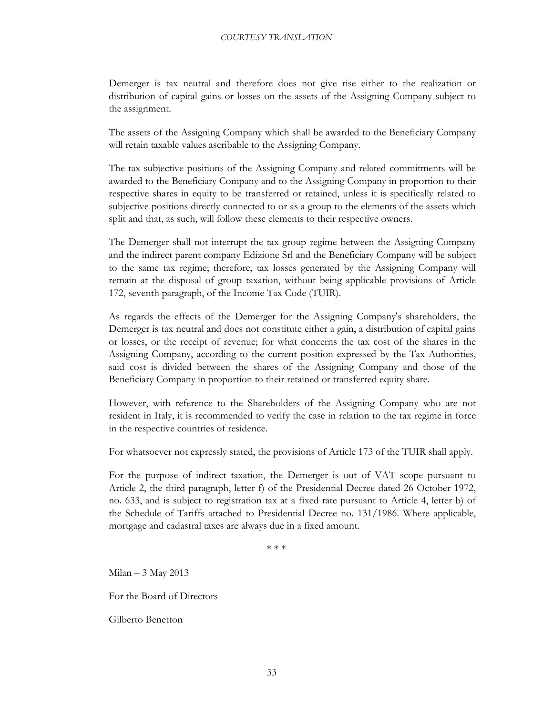Demerger is tax neutral and therefore does not give rise either to the realization or distribution of capital gains or losses on the assets of the Assigning Company subject to the assignment.

The assets of the Assigning Company which shall be awarded to the Beneficiary Company will retain taxable values ascribable to the Assigning Company.

The tax subjective positions of the Assigning Company and related commitments will be awarded to the Beneficiary Company and to the Assigning Company in proportion to their respective shares in equity to be transferred or retained, unless it is specifically related to subjective positions directly connected to or as a group to the elements of the assets which split and that, as such, will follow these elements to their respective owners.

The Demerger shall not interrupt the tax group regime between the Assigning Company and the indirect parent company Edizione Srl and the Beneficiary Company will be subject to the same tax regime; therefore, tax losses generated by the Assigning Company will remain at the disposal of group taxation, without being applicable provisions of Article 172, seventh paragraph, of the Income Tax Code (TUIR).

As regards the effects of the Demerger for the Assigning Company's shareholders, the Demerger is tax neutral and does not constitute either a gain, a distribution of capital gains or losses, or the receipt of revenue; for what concerns the tax cost of the shares in the Assigning Company, according to the current position expressed by the Tax Authorities, said cost is divided between the shares of the Assigning Company and those of the Beneficiary Company in proportion to their retained or transferred equity share.

However, with reference to the Shareholders of the Assigning Company who are not resident in Italy, it is recommended to verify the case in relation to the tax regime in force in the respective countries of residence.

For whatsoever not expressly stated, the provisions of Article 173 of the TUIR shall apply.

For the purpose of indirect taxation, the Demerger is out of VAT scope pursuant to Article 2, the third paragraph, letter f) of the Presidential Decree dated 26 October 1972, no. 633, and is subject to registration tax at a fixed rate pursuant to Article 4, letter b) of the Schedule of Tariffs attached to Presidential Decree no. 131/1986. Where applicable, mortgage and cadastral taxes are always due in a fixed amount.

\* \* \*

Milan – 3 May 2013

For the Board of Directors

Gilberto Benetton